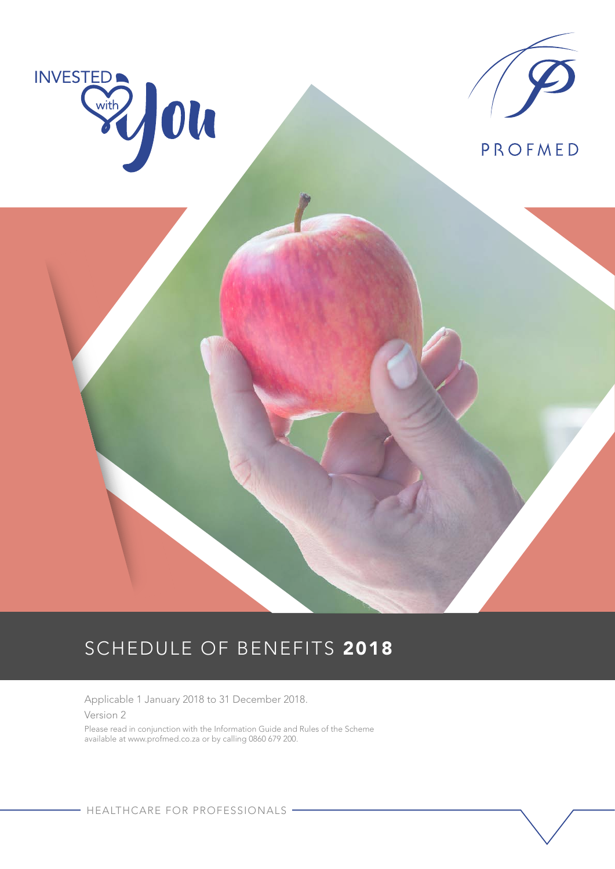

Applicable 1 January 2018 to 31 December 2018. Version 2

Please read in conjunction with the Information Guide and Rules of the Scheme available at www.profmed.co.za or by calling 0860 679 200.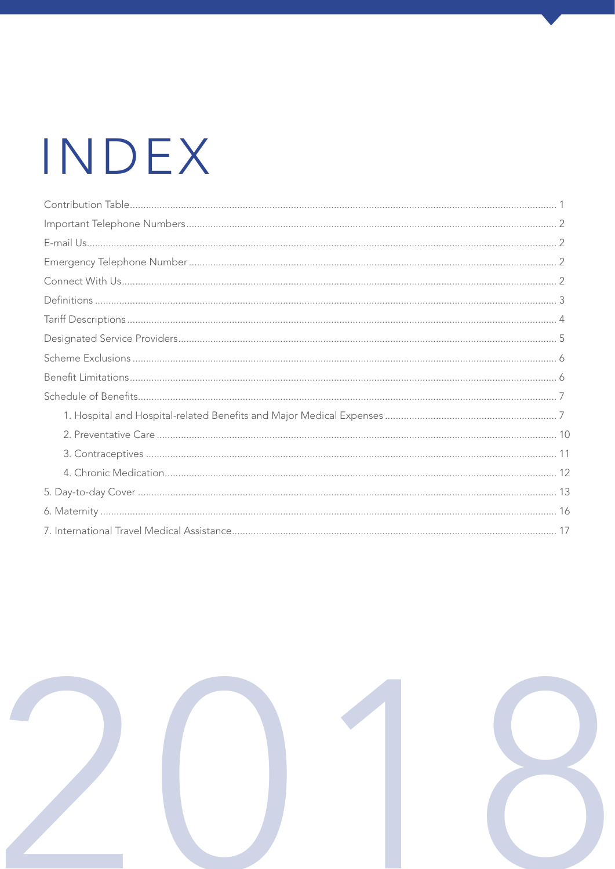# INDEX

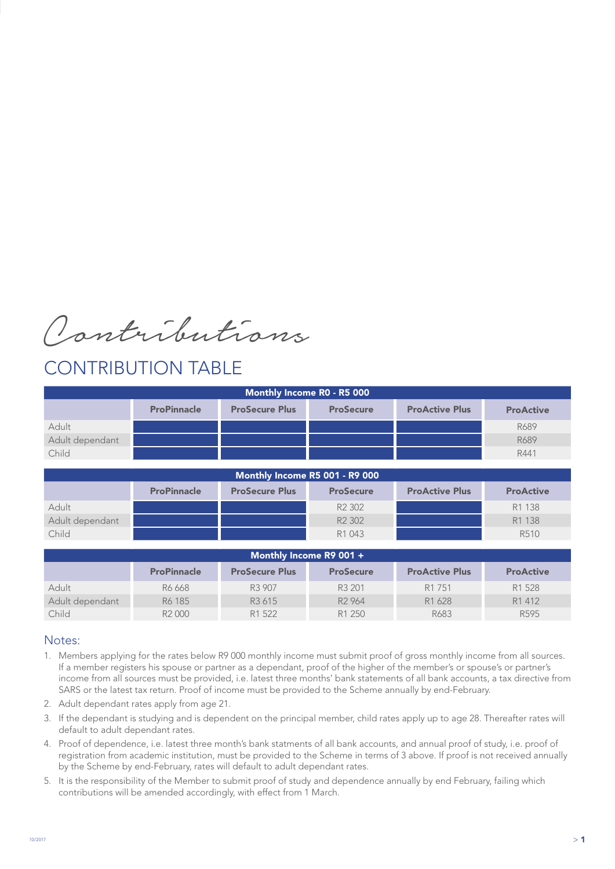Contributions

### CONTRIBUTION TABLE

| Monthly Income R0 - R5 000 |                    |                                |                                |                       |                  |  |  |
|----------------------------|--------------------|--------------------------------|--------------------------------|-----------------------|------------------|--|--|
|                            | <b>ProPinnacle</b> | <b>ProSecure Plus</b>          | <b>ProSecure</b>               | <b>ProActive Plus</b> | <b>ProActive</b> |  |  |
| Adult                      |                    |                                |                                |                       | R689             |  |  |
| Adult dependant            |                    |                                |                                |                       | R689             |  |  |
| Child                      |                    |                                |                                |                       | R441             |  |  |
|                            |                    |                                |                                |                       |                  |  |  |
|                            |                    | Monthly Income R5 001 - R9 000 |                                |                       |                  |  |  |
|                            | <b>ProPinnacle</b> | <b>ProSecure Plus</b>          | <b>ProSecure</b>               | <b>ProActive Plus</b> | <b>ProActive</b> |  |  |
| Adult                      |                    |                                | R <sub>2</sub> 30 <sub>2</sub> |                       | R1 138           |  |  |
| Adult dependant            |                    |                                | R <sub>2</sub> 30 <sub>2</sub> |                       | R1 138           |  |  |
| Child                      |                    |                                | R1 043                         |                       | R510             |  |  |
|                            |                    |                                |                                |                       |                  |  |  |

| Monthly Income R9 001 +                                                                                      |                    |                    |                    |                    |                  |  |  |
|--------------------------------------------------------------------------------------------------------------|--------------------|--------------------|--------------------|--------------------|------------------|--|--|
| <b>ProActive Plus</b><br><b>ProPinnacle</b><br><b>ProSecure Plus</b><br><b>ProActive</b><br><b>ProSecure</b> |                    |                    |                    |                    |                  |  |  |
| Adult                                                                                                        | R6 668             | R3 907             | R3 201             | R <sub>1</sub> 751 | R1 528           |  |  |
| Adult dependant                                                                                              | R6 185             | R <sub>3</sub> 615 | R <sub>2</sub> 964 | R1 628             | R1 412           |  |  |
| Child                                                                                                        | R <sub>2</sub> 000 | R1 522             | R <sub>1</sub> 250 | R683               | R <sub>595</sub> |  |  |

### Notes:

- 1. Members applying for the rates below R9 000 monthly income must submit proof of gross monthly income from all sources. If a member registers his spouse or partner as a dependant, proof of the higher of the member's or spouse's or partner's income from all sources must be provided, i.e. latest three months' bank statements of all bank accounts, a tax directive from SARS or the latest tax return. Proof of income must be provided to the Scheme annually by end-February.
- 2. Adult dependant rates apply from age 21.
- 3. If the dependant is studying and is dependent on the principal member, child rates apply up to age 28. Thereafter rates will default to adult dependant rates.
- 4. Proof of dependence, i.e. latest three month's bank statments of all bank accounts, and annual proof of study, i.e. proof of registration from academic institution, must be provided to the Scheme in terms of 3 above. If proof is not received annually by the Scheme by end-February, rates will default to adult dependant rates.
- 5. It is the responsibility of the Member to submit proof of study and dependence annually by end February, failing which contributions will be amended accordingly, with effect from 1 March.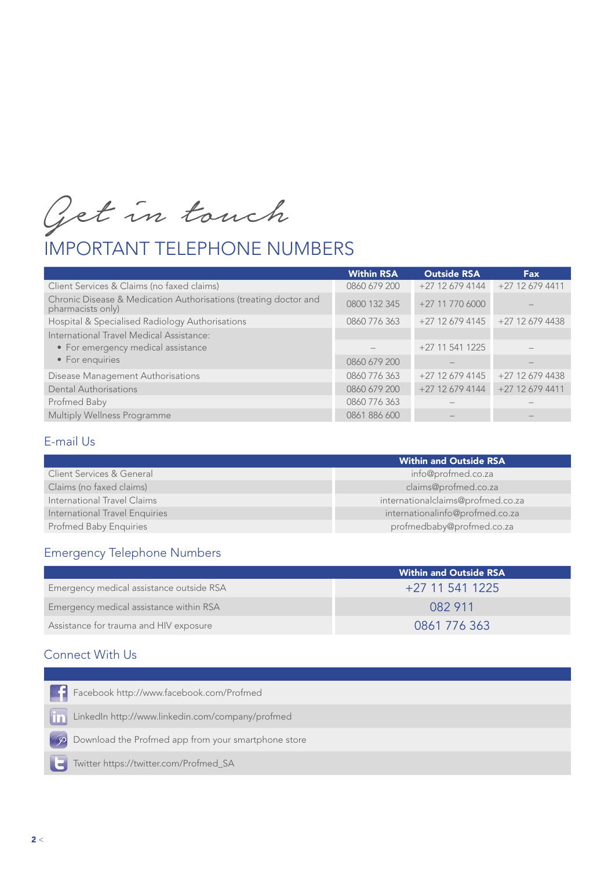Get in touch

# IMPORTANT TELEPHONE NUMBERS

| +27 12 679 4411 |
|-----------------|
|                 |
| +27 12 679 4438 |
|                 |
|                 |
|                 |
| +27 12 679 4438 |
| +27 12 679 4411 |
|                 |
|                 |
|                 |

### E-mail Us

|                                | <b>Within and Outside RSA</b>     |
|--------------------------------|-----------------------------------|
| Client Services & General      | info@profmed.co.za                |
| Claims (no faxed claims)       | claims@profmed.co.za              |
| International Travel Claims    | internationalclaims@profmed.co.za |
| International Travel Enquiries | internationalinfo@profmed.co.za   |
| <b>Profmed Baby Enquiries</b>  | profmedbaby@profmed.co.za         |

### Emergency Telephone Numbers

|                                          | <b>Within and Outside RSA</b> |
|------------------------------------------|-------------------------------|
| Emergency medical assistance outside RSA | +27 11 541 1225               |
| Emergency medical assistance within RSA  | 082 911                       |
| Assistance for trauma and HIV exposure   | 0861 776 363                  |

### Connect With Us

| <b>External</b><br>Facebook http://www.facebook.com/Profmed |  |
|-------------------------------------------------------------|--|
| [11] LinkedIn http://www.linkedin.com/company/profmed       |  |
| Download the Profmed app from your smartphone store         |  |
| Twitter https://twitter.com/Profmed_SA                      |  |
|                                                             |  |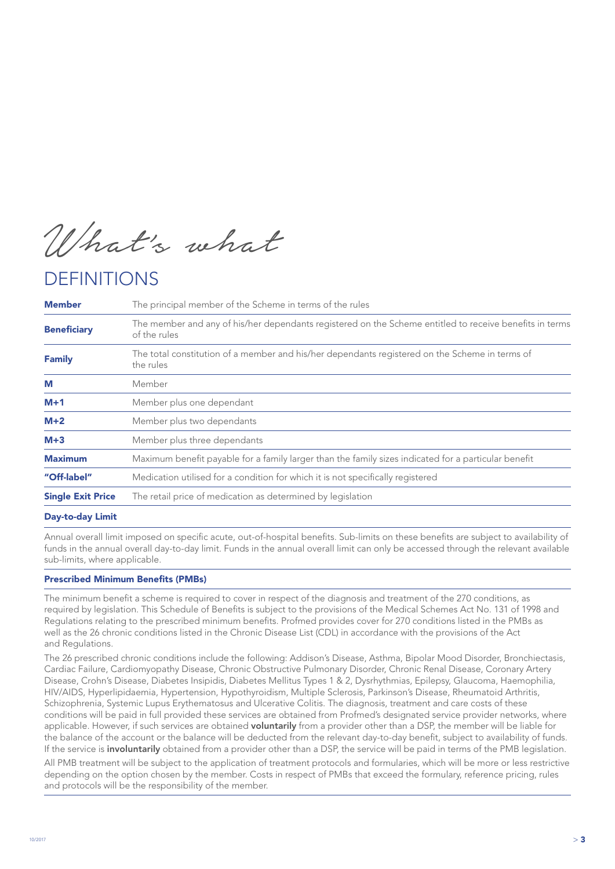What's what

### DEFINITIONS

| <b>Member</b>            | The principal member of the Scheme in terms of the rules                                                                |
|--------------------------|-------------------------------------------------------------------------------------------------------------------------|
| <b>Beneficiary</b>       | The member and any of his/her dependants registered on the Scheme entitled to receive benefits in terms<br>of the rules |
| <b>Family</b>            | The total constitution of a member and his/her dependants registered on the Scheme in terms of<br>the rules             |
| M                        | Member                                                                                                                  |
| $M+1$                    | Member plus one dependant                                                                                               |
| $M+2$                    | Member plus two dependants                                                                                              |
| $M+3$                    | Member plus three dependants                                                                                            |
| <b>Maximum</b>           | Maximum benefit payable for a family larger than the family sizes indicated for a particular benefit                    |
| "Off-label"              | Medication utilised for a condition for which it is not specifically registered                                         |
| <b>Single Exit Price</b> | The retail price of medication as determined by legislation                                                             |
|                          |                                                                                                                         |

### Day-to-day Limit

Annual overall limit imposed on specific acute, out-of-hospital benefits. Sub-limits on these benefits are subject to availability of funds in the annual overall day-to-day limit. Funds in the annual overall limit can only be accessed through the relevant available sub-limits, where applicable.

#### Prescribed Minimum Benefits (PMBs)

The minimum benefit a scheme is required to cover in respect of the diagnosis and treatment of the 270 conditions, as required by legislation. This Schedule of Benefits is subject to the provisions of the Medical Schemes Act No. 131 of 1998 and Regulations relating to the prescribed minimum benefits. Profmed provides cover for 270 conditions listed in the PMBs as well as the 26 chronic conditions listed in the Chronic Disease List (CDL) in accordance with the provisions of the Act and Regulations.

The 26 prescribed chronic conditions include the following: Addison's Disease, Asthma, Bipolar Mood Disorder, Bronchiectasis, Cardiac Failure, Cardiomyopathy Disease, Chronic Obstructive Pulmonary Disorder, Chronic Renal Disease, Coronary Artery Disease, Crohn's Disease, Diabetes Insipidis, Diabetes Mellitus Types 1 & 2, Dysrhythmias, Epilepsy, Glaucoma, Haemophilia, HIV/AIDS, Hyperlipidaemia, Hypertension, Hypothyroidism, Multiple Sclerosis, Parkinson's Disease, Rheumatoid Arthritis, Schizophrenia, Systemic Lupus Erythematosus and Ulcerative Colitis. The diagnosis, treatment and care costs of these conditions will be paid in full provided these services are obtained from Profmed's designated service provider networks, where applicable. However, if such services are obtained voluntarily from a provider other than a DSP, the member will be liable for the balance of the account or the balance will be deducted from the relevant day-to-day benefit, subject to availability of funds. If the service is **involuntarily** obtained from a provider other than a DSP, the service will be paid in terms of the PMB legislation.

All PMB treatment will be subject to the application of treatment protocols and formularies, which will be more or less restrictive depending on the option chosen by the member. Costs in respect of PMBs that exceed the formulary, reference pricing, rules and protocols will be the responsibility of the member.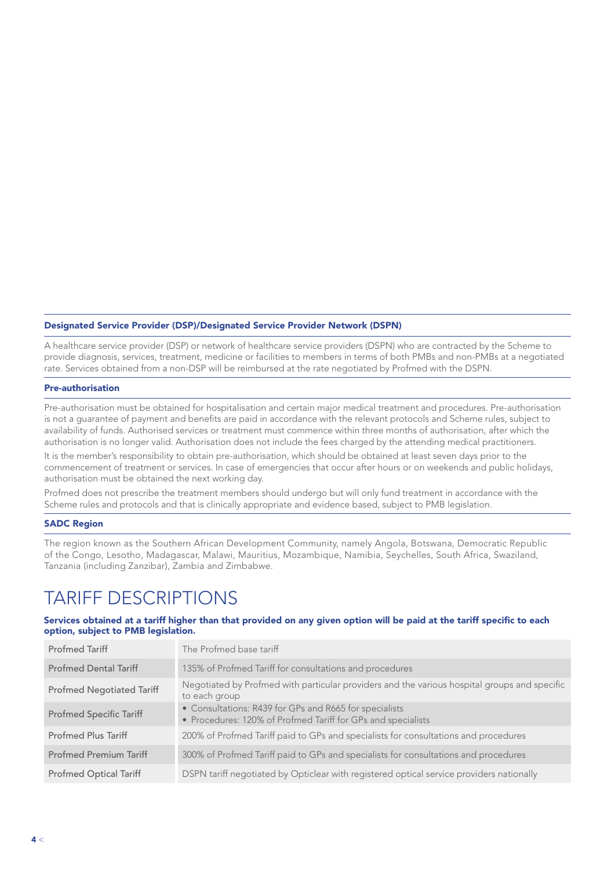### Designated Service Provider (DSP)/Designated Service Provider Network (DSPN)

A healthcare service provider (DSP) or network of healthcare service providers (DSPN) who are contracted by the Scheme to provide diagnosis, services, treatment, medicine or facilities to members in terms of both PMBs and non-PMBs at a negotiated rate. Services obtained from a non-DSP will be reimbursed at the rate negotiated by Profmed with the DSPN.

#### Pre-authorisation

Pre-authorisation must be obtained for hospitalisation and certain major medical treatment and procedures. Pre-authorisation is not a guarantee of payment and benefits are paid in accordance with the relevant protocols and Scheme rules, subject to availability of funds. Authorised services or treatment must commence within three months of authorisation, after which the authorisation is no longer valid. Authorisation does not include the fees charged by the attending medical practitioners.

It is the member's responsibility to obtain pre-authorisation, which should be obtained at least seven days prior to the commencement of treatment or services. In case of emergencies that occur after hours or on weekends and public holidays, authorisation must be obtained the next working day.

Profmed does not prescribe the treatment members should undergo but will only fund treatment in accordance with the Scheme rules and protocols and that is clinically appropriate and evidence based, subject to PMB legislation.

#### SADC Region

The region known as the Southern African Development Community, namely Angola, Botswana, Democratic Republic of the Congo, Lesotho, Madagascar, Malawi, Mauritius, Mozambique, Namibia, Seychelles, South Africa, Swaziland, Tanzania (including Zanzibar), Zambia and Zimbabwe.

### TARIFF DESCRIPTIONS

#### Services obtained at a tariff higher than that provided on any given option will be paid at the tariff specific to each option, subject to PMB legislation.

| <b>Profmed Tariff</b>            | The Profmed base tariff                                                                                                |
|----------------------------------|------------------------------------------------------------------------------------------------------------------------|
| <b>Profmed Dental Tariff</b>     | 135% of Profmed Tariff for consultations and procedures                                                                |
| <b>Profmed Negotiated Tariff</b> | Negotiated by Profmed with particular providers and the various hospital groups and specific<br>to each group          |
| <b>Profmed Specific Tariff</b>   | • Consultations: R439 for GPs and R665 for specialists<br>• Procedures: 120% of Profmed Tariff for GPs and specialists |
| <b>Profmed Plus Tariff</b>       | 200% of Profmed Tariff paid to GPs and specialists for consultations and procedures                                    |
| <b>Profmed Premium Tariff</b>    | 300% of Profmed Tariff paid to GPs and specialists for consultations and procedures                                    |
| <b>Profmed Optical Tariff</b>    | DSPN tariff negotiated by Opticlear with registered optical service providers nationally                               |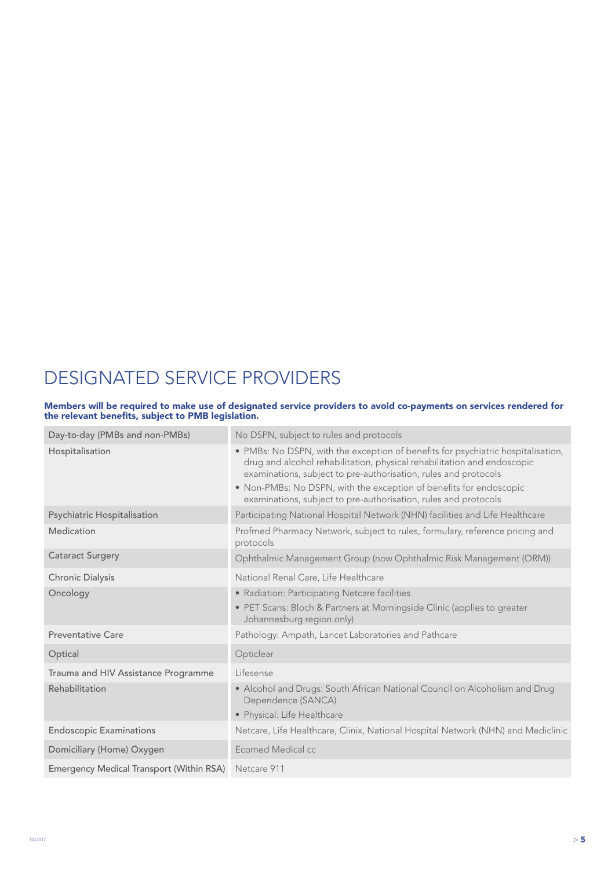# DESIGNATED SERVICE PROVIDERS

#### Members will be required to make use of designated service providers to avoid co-payments on services rendered for the relevant benefits, subject to PMB legislation.

| Day-to-day (PMBs and non-PMBs)                       | No DSPN, subject to rules and protocols                                                                                                                                                                                        |
|------------------------------------------------------|--------------------------------------------------------------------------------------------------------------------------------------------------------------------------------------------------------------------------------|
| Hospitalisation                                      | • PMBs: No DSPN, with the exception of benefits for psychiatric hospitalisation,<br>drug and alcohol rehabilitation, physical rehabilitation and endoscopic<br>examinations, subject to pre-authorisation, rules and protocols |
|                                                      | • Non-PMBs: No DSPN, with the exception of benefits for endoscopic<br>examinations, subject to pre-authorisation, rules and protocols                                                                                          |
| Psychiatric Hospitalisation                          | Participating National Hospital Network (NHN) facilities and Life Healthcare                                                                                                                                                   |
| Medication                                           | Profmed Pharmacy Network, subject to rules, formulary, reference pricing and<br>protocols                                                                                                                                      |
| <b>Cataract Surgery</b>                              | Ophthalmic Management Group (now Ophthalmic Risk Management (ORM))                                                                                                                                                             |
| Chronic Dialysis                                     | National Renal Care, Life Healthcare                                                                                                                                                                                           |
| Oncology                                             | • Radiation: Participating Netcare facilities                                                                                                                                                                                  |
|                                                      | • PET Scans: Bloch & Partners at Morningside Clinic (applies to greater<br>Johannesburg region only)                                                                                                                           |
| <b>Preventative Care</b>                             | Pathology: Ampath, Lancet Laboratories and Pathcare                                                                                                                                                                            |
| Optical                                              | Opticlear                                                                                                                                                                                                                      |
| Trauma and HIV Assistance Programme                  | Lifesense                                                                                                                                                                                                                      |
| Rehabilitation                                       | • Alcohol and Drugs: South African National Council on Alcoholism and Drug<br>Dependence (SANCA)                                                                                                                               |
|                                                      | • Physical: Life Healthcare                                                                                                                                                                                                    |
| <b>Endoscopic Examinations</b>                       | Netcare, Life Healthcare, Clinix, National Hospital Network (NHN) and Mediclinic                                                                                                                                               |
| Domiciliary (Home) Oxygen                            | Ecomed Medical cc                                                                                                                                                                                                              |
| Emergency Medical Transport (Within RSA) Netcare 911 |                                                                                                                                                                                                                                |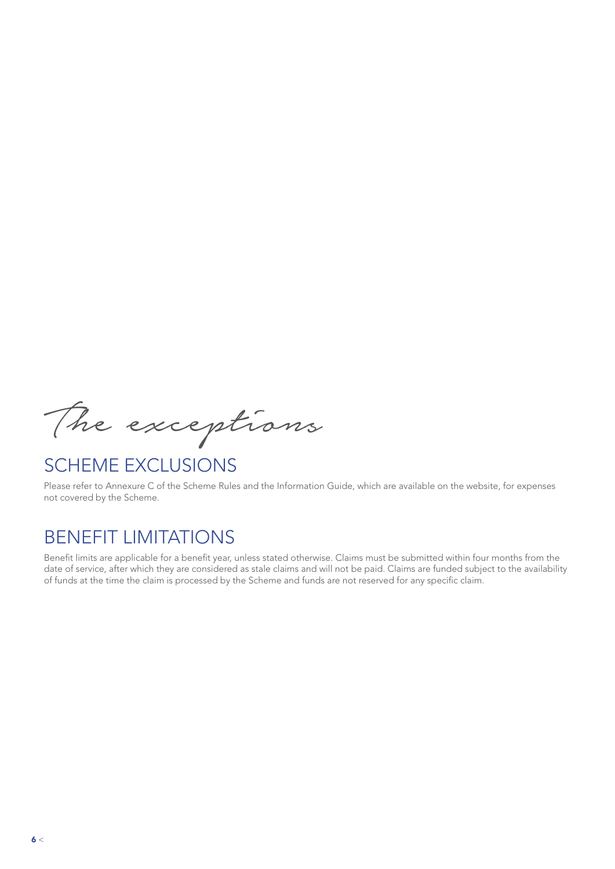The exceptions

### SCHEME EXCLUSIONS

Please refer to Annexure C of the Scheme Rules and the Information Guide, which are available on the website, for expenses not covered by the Scheme.

### BENEFIT LIMITATIONS

Benefit limits are applicable for a benefit year, unless stated otherwise. Claims must be submitted within four months from the date of service, after which they are considered as stale claims and will not be paid. Claims are funded subject to the availability of funds at the time the claim is processed by the Scheme and funds are not reserved for any specific claim.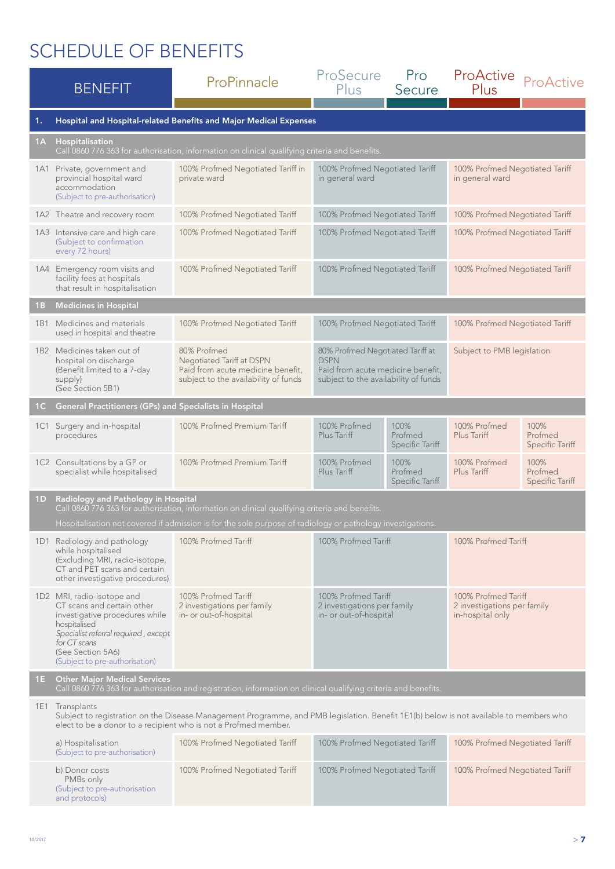| <b>BENEFIT</b> |                                                                                                                                                                                                                              | ProPinnacle                                                                                                                       | ProSecure<br><b>Plus</b>                                                                                                     | Pro<br>Secure                      | ProActive<br>Plus                                                      | ProActive                                 |  |
|----------------|------------------------------------------------------------------------------------------------------------------------------------------------------------------------------------------------------------------------------|-----------------------------------------------------------------------------------------------------------------------------------|------------------------------------------------------------------------------------------------------------------------------|------------------------------------|------------------------------------------------------------------------|-------------------------------------------|--|
| 1.             | Hospital and Hospital-related Benefits and Major Medical Expenses                                                                                                                                                            |                                                                                                                                   |                                                                                                                              |                                    |                                                                        |                                           |  |
| 1A             | <b>Hospitalisation</b><br>Call 0860 776 363 for authorisation, information on clinical qualifying criteria and benefits.                                                                                                     |                                                                                                                                   |                                                                                                                              |                                    |                                                                        |                                           |  |
| 1A1            | Private, government and<br>provincial hospital ward<br>accommodation<br>(Subject to pre-authorisation)                                                                                                                       | 100% Profmed Negotiated Tariff in<br>private ward                                                                                 | 100% Profmed Negotiated Tariff<br>in general ward                                                                            |                                    | 100% Profmed Negotiated Tariff<br>in general ward                      |                                           |  |
|                | 1A2 Theatre and recovery room                                                                                                                                                                                                | 100% Profmed Negotiated Tariff                                                                                                    | 100% Profmed Negotiated Tariff                                                                                               |                                    | 100% Profmed Negotiated Tariff                                         |                                           |  |
|                | 1A3 Intensive care and high care<br>(Subject to confirmation<br>every 72 hours)                                                                                                                                              | 100% Profmed Negotiated Tariff                                                                                                    | 100% Profmed Negotiated Tariff                                                                                               |                                    | 100% Profmed Negotiated Tariff                                         |                                           |  |
|                | 1A4 Emergency room visits and<br>facility fees at hospitals<br>that result in hospitalisation                                                                                                                                | 100% Profmed Negotiated Tariff                                                                                                    | 100% Profmed Negotiated Tariff                                                                                               |                                    | 100% Profmed Negotiated Tariff                                         |                                           |  |
| 1 <sub>B</sub> | <b>Medicines in Hospital</b>                                                                                                                                                                                                 |                                                                                                                                   |                                                                                                                              |                                    |                                                                        |                                           |  |
| 1B1            | Medicines and materials<br>used in hospital and theatre                                                                                                                                                                      | 100% Profmed Negotiated Tariff                                                                                                    | 100% Profmed Negotiated Tariff                                                                                               |                                    | 100% Profmed Negotiated Tariff                                         |                                           |  |
|                | 1B2 Medicines taken out of<br>hospital on discharge<br>(Benefit limited to a 7-day<br>supply)<br>(See Section 5B1)                                                                                                           | 80% Profmed<br>Negotiated Tariff at DSPN<br>Paid from acute medicine benefit,<br>subject to the availability of funds             | 80% Profmed Negotiated Tariff at<br><b>DSPN</b><br>Paid from acute medicine benefit,<br>subject to the availability of funds |                                    | Subject to PMB legislation                                             |                                           |  |
| 1 <sup>C</sup> | <b>General Practitioners (GPs) and Specialists in Hospital</b>                                                                                                                                                               |                                                                                                                                   |                                                                                                                              |                                    |                                                                        |                                           |  |
|                | 1C1 Surgery and in-hospital<br>procedures                                                                                                                                                                                    | 100% Profmed Premium Tariff                                                                                                       | 100% Profmed<br>Plus Tariff                                                                                                  | 100%<br>Profmed<br>Specific Tariff | 100% Profmed<br>Plus Tariff                                            | 100%<br>Profmed<br>Specific Tariff        |  |
|                | 1C2 Consultations by a GP or<br>specialist while hospitalised                                                                                                                                                                | 100% Profmed Premium Tariff                                                                                                       | 100% Profmed<br>Plus Tariff                                                                                                  | 100%<br>Profmed<br>Specific Tariff | 100% Profmed<br>Plus Tariff                                            | 100%<br>Profmed<br><b>Specific Tariff</b> |  |
| 1 <sub>D</sub> | Radiology and Pathology in Hospital<br>Call 0860 776 363 for authorisation, information on clinical qualifying criteria and benefits.                                                                                        |                                                                                                                                   |                                                                                                                              |                                    |                                                                        |                                           |  |
|                | 1D1 Radiology and pathology                                                                                                                                                                                                  | Hospitalisation not covered if admission is for the sole purpose of radiology or pathology investigations.<br>100% Profmed Tariff | 100% Profmed Tariff                                                                                                          |                                    | 100% Profmed Tariff                                                    |                                           |  |
|                | while hospitalised<br>(Excluding MRI, radio-isotope,<br>CT and PET scans and certain<br>other investigative procedures)                                                                                                      |                                                                                                                                   |                                                                                                                              |                                    |                                                                        |                                           |  |
|                | 1D2 MRI, radio-isotope and<br>CT scans and certain other<br>investigative procedures while<br>hospitalised<br>Specialist referral required, except<br>for CT scans<br>(See Section 5A6)<br>(Subject to pre-authorisation)    | 100% Profmed Tariff<br>2 investigations per family<br>in- or out-of-hospital                                                      | 100% Profmed Tariff<br>2 investigations per family<br>in- or out-of-hospital                                                 |                                    | 100% Profmed Tariff<br>2 investigations per family<br>in-hospital only |                                           |  |
| 1E.            | <b>Other Major Medical Services</b><br>Call 0860 776 363 for authorisation and registration, information on clinical qualifying criteria and benefits.                                                                       |                                                                                                                                   |                                                                                                                              |                                    |                                                                        |                                           |  |
|                | 1E1 Transplants<br>Subject to registration on the Disease Management Programme, and PMB legislation. Benefit 1E1(b) below is not available to members who<br>elect to be a donor to a recipient who is not a Profmed member. |                                                                                                                                   |                                                                                                                              |                                    |                                                                        |                                           |  |
|                | a) Hospitalisation<br>(Subject to pre-authorisation)                                                                                                                                                                         | 100% Profmed Negotiated Tariff                                                                                                    | 100% Profmed Negotiated Tariff                                                                                               |                                    | 100% Profmed Negotiated Tariff                                         |                                           |  |
|                | b) Donor costs<br>PMBs only<br>(Subject to pre-authorisation<br>and protocols)                                                                                                                                               | 100% Profmed Negotiated Tariff                                                                                                    | 100% Profmed Negotiated Tariff                                                                                               |                                    | 100% Profmed Negotiated Tariff                                         |                                           |  |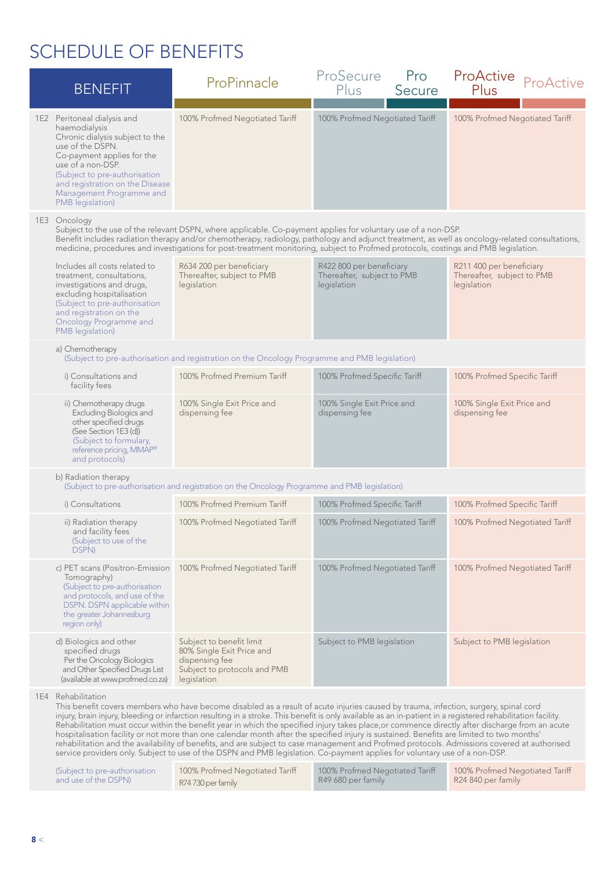| <b>BENEFIT</b> |                                                                                                                                                                                                                                                                            | ProPinnacle                                                                                                                                                                                                                                                                                                                                                                                                                                                                                                                                                                                          | ProSecure<br>Pro<br>Plus<br>Secure                                    | ProActive<br>ProActive<br>Plus                                        |
|----------------|----------------------------------------------------------------------------------------------------------------------------------------------------------------------------------------------------------------------------------------------------------------------------|------------------------------------------------------------------------------------------------------------------------------------------------------------------------------------------------------------------------------------------------------------------------------------------------------------------------------------------------------------------------------------------------------------------------------------------------------------------------------------------------------------------------------------------------------------------------------------------------------|-----------------------------------------------------------------------|-----------------------------------------------------------------------|
|                | 1E2 Peritoneal dialysis and<br>haemodialysis<br>Chronic dialysis subject to the<br>use of the DSPN.<br>Co-payment applies for the<br>use of a non-DSP.<br>(Subject to pre-authorisation<br>and registration on the Disease<br>Management Programme and<br>PMB legislation) | 100% Profmed Negotiated Tariff                                                                                                                                                                                                                                                                                                                                                                                                                                                                                                                                                                       | 100% Profmed Negotiated Tariff                                        | 100% Profmed Negotiated Tariff                                        |
|                | 1E3 Oncology                                                                                                                                                                                                                                                               | Subject to the use of the relevant DSPN, where applicable. Co-payment applies for voluntary use of a non-DSP.<br>Benefit includes radiation therapy and/or chemotherapy, radiology, pathology and adjunct treatment, as well as oncology-related consultations,<br>medicine, procedures and investigations for post-treatment monitoring, subject to Profmed protocols, costings and PMB legislation.                                                                                                                                                                                                |                                                                       |                                                                       |
|                | Includes all costs related to<br>treatment, consultations,<br>investigations and drugs,<br>excluding hospitalisation<br>(Subject to pre-authorisation<br>and registration on the<br><b>Oncology Programme and</b><br>PMB legislation)                                      | R634 200 per beneficiary<br>Thereafter, subject to PMB<br>legislation                                                                                                                                                                                                                                                                                                                                                                                                                                                                                                                                | R422 800 per beneficiary<br>Thereafter, subject to PMB<br>legislation | R211 400 per beneficiary<br>Thereafter, subject to PMB<br>legislation |
|                | a) Chemotherapy                                                                                                                                                                                                                                                            | (Subject to pre-authorisation and registration on the Oncology Programme and PMB legislation)                                                                                                                                                                                                                                                                                                                                                                                                                                                                                                        |                                                                       |                                                                       |
|                | i) Consultations and<br>facility fees                                                                                                                                                                                                                                      | 100% Profmed Premium Tariff                                                                                                                                                                                                                                                                                                                                                                                                                                                                                                                                                                          | 100% Profmed Specific Tariff                                          | 100% Profmed Specific Tariff                                          |
|                | ii) Chemotherapy drugs<br>Excluding Biologics and<br>other specified drugs<br>(See Section 1E3 (d))<br>(Subject to formulary,<br>reference pricing, MMAP®<br>and protocols)                                                                                                | 100% Single Exit Price and<br>dispensing fee                                                                                                                                                                                                                                                                                                                                                                                                                                                                                                                                                         | 100% Single Exit Price and<br>dispensing fee                          | 100% Single Exit Price and<br>dispensing fee                          |
|                | b) Radiation therapy                                                                                                                                                                                                                                                       | (Subject to pre-authorisation and registration on the Oncology Programme and PMB legislation)                                                                                                                                                                                                                                                                                                                                                                                                                                                                                                        |                                                                       |                                                                       |
|                | i) Consultations                                                                                                                                                                                                                                                           | 100% Profmed Premium Tariff                                                                                                                                                                                                                                                                                                                                                                                                                                                                                                                                                                          | 100% Profmed Specific Tariff                                          | 100% Profmed Specific Tariff                                          |
|                | ii) Radiation therapy<br>and facility fees<br>(Subject to use of the<br>DSPN)                                                                                                                                                                                              | 100% Profmed Negotiated Tariff                                                                                                                                                                                                                                                                                                                                                                                                                                                                                                                                                                       | 100% Profmed Negotiated Tariff                                        | 100% Profmed Negotiated Tariff                                        |
|                | c) PET scans (Positron-Emission<br>Tomography)<br>(Subject to pre-authorisation<br>and protocols, and use of the<br>DSPN. DSPN applicable within<br>the greater Johannesburg<br>region only)                                                                               | 100% Profmed Negotiated Tariff                                                                                                                                                                                                                                                                                                                                                                                                                                                                                                                                                                       | 100% Profmed Negotiated Tariff                                        | 100% Profmed Negotiated Tariff                                        |
|                | d) Biologics and other<br>specified drugs<br>Per the Oncology Biologics<br>and Other Specified Drugs List<br>(available at www.profmed.co.za)                                                                                                                              | Subject to benefit limit<br>80% Single Exit Price and<br>dispensing fee<br>Subject to protocols and PMB<br>legislation                                                                                                                                                                                                                                                                                                                                                                                                                                                                               | Subject to PMB legislation                                            | Subject to PMB legislation                                            |
|                | 1E4 Rehabilitation                                                                                                                                                                                                                                                         | This benefit covers members who have become disabled as a result of acute injuries caused by trauma, infection, surgery, spinal cord<br>injury, brain injury, bleeding or infarction resulting in a stroke. This benefit is only available as an in-patient in a registered rehabilitation facility.<br>Rehabilitation must occur within the benefit year in which the specified injury takes place, or commence directly after discharge from an acute<br>hospitalisation facility or not more than one calendar month after the specified injury is sustained. Benefits are limited to two months' |                                                                       |                                                                       |

rehabilitation and the availability of benefits, and are subject to case management and Profmed protocols. Admissions covered at authorised service providers only. Subject to use of the DSPN and PMB legislation. Co-payment applies for voluntary use of a non-DSP.

| (Subject to pre-authorisation | 100% Profmed Negotiated Tariff | 100% Profmed Negotiated Tariff | 100% Profmed Negotiated Tariff |
|-------------------------------|--------------------------------|--------------------------------|--------------------------------|
| and use of the DSPN)          | R74730 per family              | R49 680 per family             | R24 840 per family             |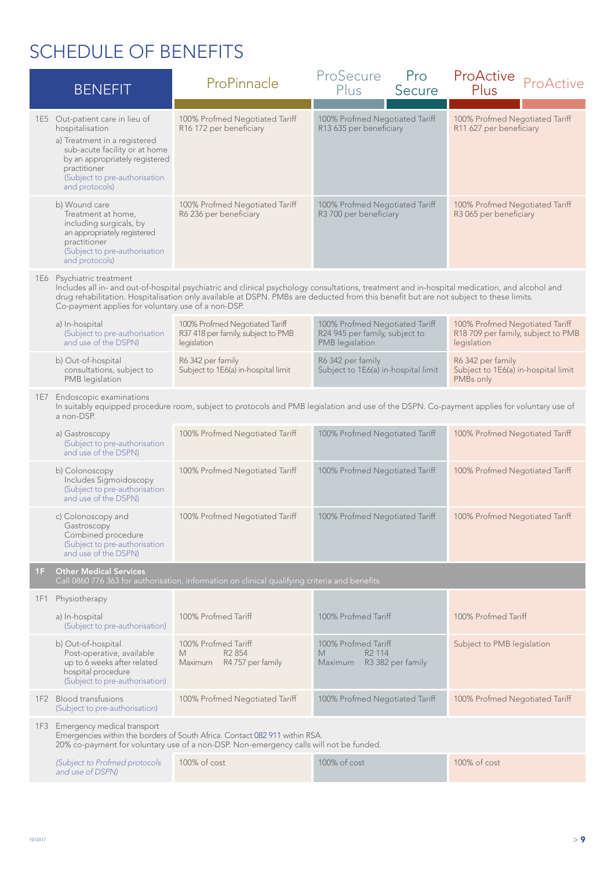|     | <b>BENEFIT</b>                                                                                                                                                                                                           | ProPinnacle                                                                                                                                                                                                                                                                            | ProSecure<br>Pro<br>Plus<br>Secure                                                  | ProActive<br>ProActive<br>Plus                                                      |
|-----|--------------------------------------------------------------------------------------------------------------------------------------------------------------------------------------------------------------------------|----------------------------------------------------------------------------------------------------------------------------------------------------------------------------------------------------------------------------------------------------------------------------------------|-------------------------------------------------------------------------------------|-------------------------------------------------------------------------------------|
|     | 1E5 Out-patient care in lieu of<br>hospitalisation<br>a) Treatment in a registered<br>sub-acute facility or at home<br>by an appropriately registered<br>practitioner<br>(Subject to pre-authorisation<br>and protocols) | 100% Profmed Negotiated Tariff<br>R16 172 per beneficiary                                                                                                                                                                                                                              | 100% Profmed Negotiated Tariff<br>R13 635 per beneficiary                           | 100% Profmed Negotiated Tariff<br>R11 627 per beneficiary                           |
|     | b) Wound care<br>Treatment at home,<br>including surgicals, by<br>an appropriately registered<br>practitioner<br>(Subject to pre-authorisation<br>and protocols)                                                         | 100% Profmed Negotiated Tariff<br>R6 236 per beneficiary                                                                                                                                                                                                                               | 100% Profmed Negotiated Tariff<br>R3 700 per beneficiary                            | 100% Profmed Negotiated Tariff<br>R3 065 per beneficiary                            |
| 1E6 | Psychiatric treatment<br>Co-payment applies for voluntary use of a non-DSP.                                                                                                                                              | Includes all in- and out-of-hospital psychiatric and clinical psychology consultations, treatment and in-hospital medication, and alcohol and<br>drug rehabilitation. Hospitalisation only available at DSPN. PMBs are deducted from this benefit but are not subject to these limits. |                                                                                     |                                                                                     |
|     | a) In-hospital<br>(Subject to pre-authorisation<br>and use of the DSPN)                                                                                                                                                  | 100% Profmed Negotiated Tariff<br>R37 418 per family, subject to PMB<br>legislation                                                                                                                                                                                                    | 100% Profmed Negotiated Tariff<br>R24 945 per family, subject to<br>PMB legislation | 100% Profmed Negotiated Tariff<br>R18 709 per family, subject to PMB<br>legislation |
|     | b) Out-of-hospital<br>consultations, subject to<br>PMB legislation                                                                                                                                                       | R6 342 per family<br>Subject to 1E6(a) in-hospital limit                                                                                                                                                                                                                               | R6 342 per family<br>Subject to 1E6(a) in-hospital limit                            | R6 342 per family<br>Subject to 1E6(a) in-hospital limit<br>PMBs only               |
|     | 1E7 Endoscopic examinations<br>a non-DSP.                                                                                                                                                                                | In suitably equipped procedure room, subject to protocols and PMB legislation and use of the DSPN. Co-payment applies for voluntary use of                                                                                                                                             |                                                                                     |                                                                                     |
|     | a) Gastroscopy<br>(Subject to pre-authorisation<br>and use of the DSPN)                                                                                                                                                  | 100% Profmed Negotiated Tariff                                                                                                                                                                                                                                                         | 100% Profmed Negotiated Tariff                                                      | 100% Profmed Negotiated Tariff                                                      |
|     | b) Colonoscopy<br>Includes Sigmoidoscopy<br>(Subject to pre-authorisation<br>and use of the DSPN)                                                                                                                        | 100% Profmed Negotiated Tariff                                                                                                                                                                                                                                                         | 100% Profmed Negotiated Tariff                                                      | 100% Profmed Negotiated Tariff                                                      |
|     | c) Colonoscopy and<br>Gastroscopy<br>Combined procedure<br>(Subject to pre-authorisation<br>and use of the DSPN)                                                                                                         | 100% Profmed Negotiated Tariff                                                                                                                                                                                                                                                         | 100% Profmed Negotiated Tariff                                                      | 100% Profmed Negotiated Tariff                                                      |
| 1F  | <b>Other Medical Services</b>                                                                                                                                                                                            | Call 0860 776 363 for authorisation, information on clinical qualifying criteria and benefits.                                                                                                                                                                                         |                                                                                     |                                                                                     |
|     | 1F1 Physiotherapy                                                                                                                                                                                                        |                                                                                                                                                                                                                                                                                        |                                                                                     |                                                                                     |
|     | a) In-hospital<br>(Subject to pre-authorisation)                                                                                                                                                                         | 100% Profmed Tariff                                                                                                                                                                                                                                                                    | 100% Profmed Tariff                                                                 | 100% Profmed Tariff                                                                 |
|     | b) Out-of-hospital<br>Post-operative, available<br>up to 6 weeks after related<br>hospital procedure<br>(Subject to pre-authorisation)                                                                                   | 100% Profmed Tariff<br>R <sub>2</sub> 854<br>M<br>R4 757 per family<br>Maximum                                                                                                                                                                                                         | 100% Profmed Tariff<br>R <sub>2</sub> 114<br>M<br>Maximum R3 382 per family         | Subject to PMB legislation                                                          |
|     | 1F2 Blood transfusions<br>(Subject to pre-authorisation)                                                                                                                                                                 | 100% Profmed Negotiated Tariff                                                                                                                                                                                                                                                         | 100% Profmed Negotiated Tariff                                                      | 100% Profmed Negotiated Tariff                                                      |
|     | 1F3 Emergency medical transport                                                                                                                                                                                          | Emergencies within the borders of South Africa. Contact 082 911 within RSA.<br>20% co-payment for voluntary use of a non-DSP. Non-emergency calls will not be funded.                                                                                                                  |                                                                                     |                                                                                     |
|     | (Subject to Profmed protocols<br>and use of DSPN)                                                                                                                                                                        | 100% of cost                                                                                                                                                                                                                                                                           | 100% of cost                                                                        | 100% of cost                                                                        |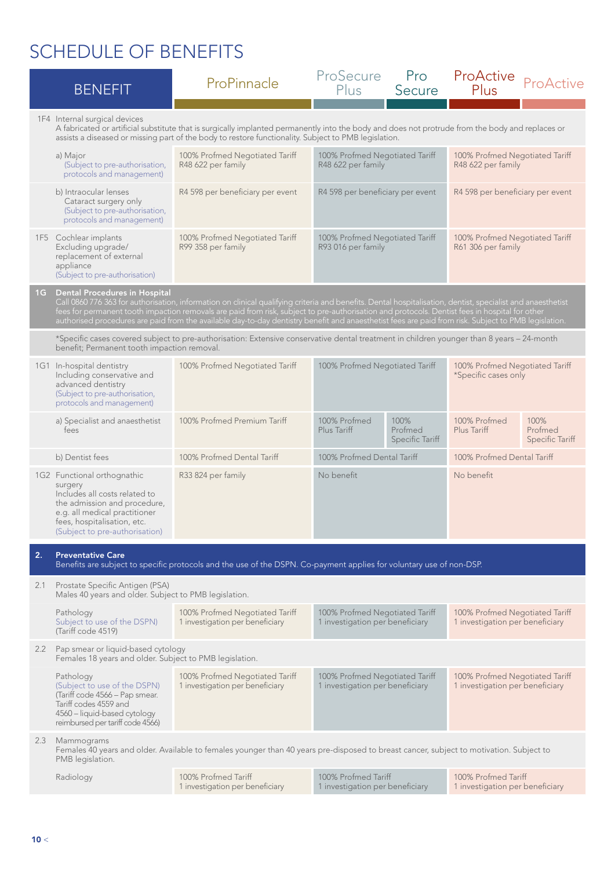|     | <b>BENEFIT</b>                                                                                                                                                                                            | ProPinnacle                                                                                                                                                  | ProSecure<br>Plus                                                 | Pro<br>Secure                                                                                                                                                                                                                                                                                                                                                                                                                                                         | ProActive<br>Plus                                                 | ProActive                                 |  |
|-----|-----------------------------------------------------------------------------------------------------------------------------------------------------------------------------------------------------------|--------------------------------------------------------------------------------------------------------------------------------------------------------------|-------------------------------------------------------------------|-----------------------------------------------------------------------------------------------------------------------------------------------------------------------------------------------------------------------------------------------------------------------------------------------------------------------------------------------------------------------------------------------------------------------------------------------------------------------|-------------------------------------------------------------------|-------------------------------------------|--|
|     | 1F4 Internal surgical devices                                                                                                                                                                             | A fabricated or artificial substitute that is surgically implanted permanently into the body and does not protrude from the body and replaces or             |                                                                   |                                                                                                                                                                                                                                                                                                                                                                                                                                                                       |                                                                   |                                           |  |
|     | a) Major<br>(Subject to pre-authorisation,<br>protocols and management)                                                                                                                                   | assists a diseased or missing part of the body to restore functionality. Subject to PMB legislation.<br>100% Profmed Negotiated Tariff<br>R48 622 per family | 100% Profmed Negotiated Tariff<br>R48 622 per family              |                                                                                                                                                                                                                                                                                                                                                                                                                                                                       | 100% Profmed Negotiated Tariff<br>R48 622 per family              |                                           |  |
|     | b) Intraocular lenses<br>Cataract surgery only<br>(Subject to pre-authorisation,<br>protocols and management)                                                                                             | R4 598 per beneficiary per event                                                                                                                             | R4 598 per beneficiary per event                                  |                                                                                                                                                                                                                                                                                                                                                                                                                                                                       | R4 598 per beneficiary per event                                  |                                           |  |
|     | 1F5 Cochlear implants<br>Excluding upgrade/<br>replacement of external<br>appliance<br>(Subject to pre-authorisation)                                                                                     | 100% Profmed Negotiated Tariff<br>R99 358 per family                                                                                                         | 100% Profmed Negotiated Tariff<br>R93 016 per family              |                                                                                                                                                                                                                                                                                                                                                                                                                                                                       | 100% Profmed Negotiated Tariff<br>R61 306 per family              |                                           |  |
| 1G  | <b>Dental Procedures in Hospital</b>                                                                                                                                                                      |                                                                                                                                                              |                                                                   | Call 0860 776 363 for authorisation, information on clinical qualifying criteria and benefits. Dental hospitalisation, dentist, specialist and anaesthetist<br>fees for permanent tooth impaction removals are paid from risk, subject to pre-authorisation and protocols. Dentist fees in hospital for other<br>authorised procedures are paid from the available day-to-day dentistry benefit and anaesthetist fees are paid from risk. Subject to PMB legislation. |                                                                   |                                           |  |
|     | *Specific cases covered subject to pre-authorisation: Extensive conservative dental treatment in children younger than 8 years - 24-month<br>benefit; Permanent tooth impaction removal.                  |                                                                                                                                                              |                                                                   |                                                                                                                                                                                                                                                                                                                                                                                                                                                                       |                                                                   |                                           |  |
|     | 1G1 In-hospital dentistry<br>Including conservative and<br>advanced dentistry<br>(Subject to pre-authorisation,<br>protocols and management)                                                              | 100% Profmed Negotiated Tariff                                                                                                                               | 100% Profmed Negotiated Tariff                                    |                                                                                                                                                                                                                                                                                                                                                                                                                                                                       | 100% Profmed Negotiated Tariff<br>*Specific cases only            |                                           |  |
|     | a) Specialist and anaesthetist<br>fees                                                                                                                                                                    | 100% Profmed Premium Tariff                                                                                                                                  | 100% Profmed<br>Plus Tariff                                       | 100%<br>Profmed<br>Specific Tariff                                                                                                                                                                                                                                                                                                                                                                                                                                    | 100% Profmed<br>Plus Tariff                                       | 100%<br>Profmed<br><b>Specific Tariff</b> |  |
|     | b) Dentist fees                                                                                                                                                                                           | 100% Profmed Dental Tariff                                                                                                                                   | 100% Profmed Dental Tariff                                        |                                                                                                                                                                                                                                                                                                                                                                                                                                                                       | 100% Profmed Dental Tariff                                        |                                           |  |
|     | 1G2 Functional orthognathic<br>surgery<br>Includes all costs related to<br>the admission and procedure,<br>e.g. all medical practitioner<br>fees, hospitalisation, etc.<br>(Subject to pre-authorisation) | R33 824 per family                                                                                                                                           | No benefit                                                        |                                                                                                                                                                                                                                                                                                                                                                                                                                                                       | No benefit                                                        |                                           |  |
| 2.  | <b>Preventative Care</b>                                                                                                                                                                                  | Benefits are subject to specific protocols and the use of the DSPN. Co-payment applies for voluntary use of non-DSP.                                         |                                                                   |                                                                                                                                                                                                                                                                                                                                                                                                                                                                       |                                                                   |                                           |  |
| 2.1 | Prostate Specific Antigen (PSA)<br>Males 40 years and older. Subject to PMB legislation.                                                                                                                  |                                                                                                                                                              |                                                                   |                                                                                                                                                                                                                                                                                                                                                                                                                                                                       |                                                                   |                                           |  |
|     | Pathology<br>Subject to use of the DSPN)<br>(Tariff code 4519)                                                                                                                                            | 100% Profmed Negotiated Tariff<br>1 investigation per beneficiary                                                                                            | 100% Profmed Negotiated Tariff<br>1 investigation per beneficiary |                                                                                                                                                                                                                                                                                                                                                                                                                                                                       | 100% Profmed Negotiated Tariff<br>1 investigation per beneficiary |                                           |  |
|     | 2.2 Pap smear or liquid-based cytology<br>Females 18 years and older. Subject to PMB legislation.                                                                                                         |                                                                                                                                                              |                                                                   |                                                                                                                                                                                                                                                                                                                                                                                                                                                                       |                                                                   |                                           |  |
|     | Pathology<br>(Subject to use of the DSPN)<br>(Tariff code 4566 - Pap smear.<br>Tariff codes 4559 and<br>4560 - liquid-based cytology<br>reimbursed per tariff code 4566)                                  | 100% Profmed Negotiated Tariff<br>1 investigation per beneficiary                                                                                            | 100% Profmed Negotiated Tariff<br>1 investigation per beneficiary |                                                                                                                                                                                                                                                                                                                                                                                                                                                                       | 100% Profmed Negotiated Tariff<br>1 investigation per beneficiary |                                           |  |
| 2.3 | Mammograms<br>PMB legislation.                                                                                                                                                                            | Females 40 years and older. Available to females younger than 40 years pre-disposed to breast cancer, subject to motivation. Subject to                      |                                                                   |                                                                                                                                                                                                                                                                                                                                                                                                                                                                       |                                                                   |                                           |  |
|     | Radiology                                                                                                                                                                                                 | 100% Profmed Tariff<br>1 investigation per beneficiary                                                                                                       | 100% Profmed Tariff<br>1 investigation per beneficiary            |                                                                                                                                                                                                                                                                                                                                                                                                                                                                       | 100% Profmed Tariff<br>1 investigation per beneficiary            |                                           |  |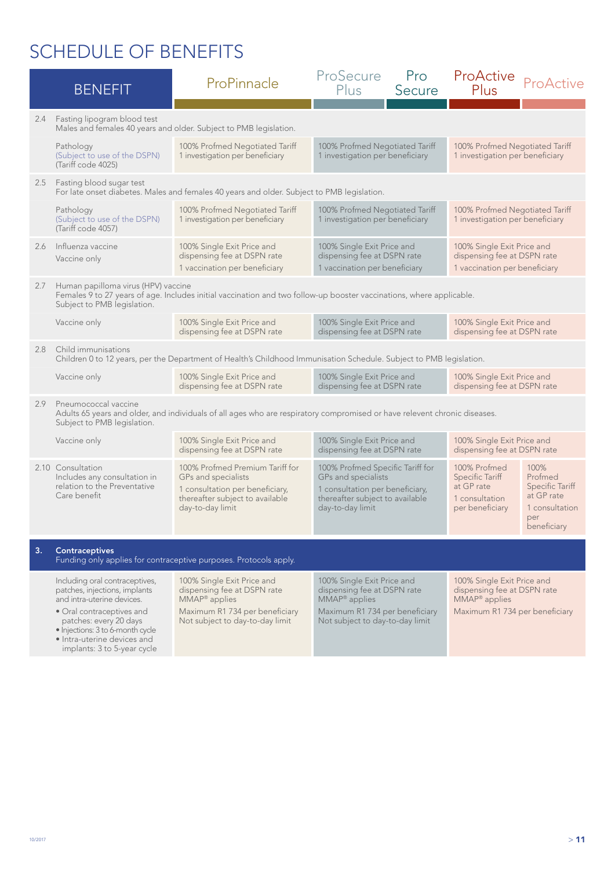|     | <b>BENEFIT</b>                                                                                                                                                                                                                                         | ProPinnacle                                                                                                                                                 | ProSecure<br>Plus                                                                                                                                           | Pro<br>Secure | ProActive<br>Plus                                                                                                        | ProActive                                                                                       |
|-----|--------------------------------------------------------------------------------------------------------------------------------------------------------------------------------------------------------------------------------------------------------|-------------------------------------------------------------------------------------------------------------------------------------------------------------|-------------------------------------------------------------------------------------------------------------------------------------------------------------|---------------|--------------------------------------------------------------------------------------------------------------------------|-------------------------------------------------------------------------------------------------|
| 2.4 | Fasting lipogram blood test                                                                                                                                                                                                                            | Males and females 40 years and older. Subject to PMB legislation.                                                                                           |                                                                                                                                                             |               |                                                                                                                          |                                                                                                 |
|     | Pathology<br>(Subject to use of the DSPN)<br>(Tariff code 4025)                                                                                                                                                                                        | 100% Profmed Negotiated Tariff<br>1 investigation per beneficiary                                                                                           | 100% Profmed Negotiated Tariff<br>1 investigation per beneficiary                                                                                           |               | 100% Profmed Negotiated Tariff<br>1 investigation per beneficiary                                                        |                                                                                                 |
|     | 2.5 Fasting blood sugar test                                                                                                                                                                                                                           | For late onset diabetes. Males and females 40 years and older. Subject to PMB legislation.                                                                  |                                                                                                                                                             |               |                                                                                                                          |                                                                                                 |
|     | Pathology<br>(Subject to use of the DSPN)<br>(Tariff code 4057)                                                                                                                                                                                        | 100% Profmed Negotiated Tariff<br>1 investigation per beneficiary                                                                                           | 100% Profmed Negotiated Tariff<br>1 investigation per beneficiary                                                                                           |               | 100% Profmed Negotiated Tariff<br>1 investigation per beneficiary                                                        |                                                                                                 |
| 2.6 | Influenza vaccine<br>Vaccine only                                                                                                                                                                                                                      | 100% Single Exit Price and<br>dispensing fee at DSPN rate<br>1 vaccination per beneficiary                                                                  | 100% Single Exit Price and<br>dispensing fee at DSPN rate<br>1 vaccination per beneficiary                                                                  |               | 100% Single Exit Price and<br>dispensing fee at DSPN rate<br>1 vaccination per beneficiary                               |                                                                                                 |
| 2.7 | Human papilloma virus (HPV) vaccine<br>Subject to PMB legislation.                                                                                                                                                                                     |                                                                                                                                                             | Females 9 to 27 years of age. Includes initial vaccination and two follow-up booster vaccinations, where applicable.                                        |               |                                                                                                                          |                                                                                                 |
|     | Vaccine only                                                                                                                                                                                                                                           | 100% Single Exit Price and<br>dispensing fee at DSPN rate                                                                                                   | 100% Single Exit Price and<br>dispensing fee at DSPN rate                                                                                                   |               | 100% Single Exit Price and<br>dispensing fee at DSPN rate                                                                |                                                                                                 |
| 2.8 | Child immunisations<br>Children 0 to 12 years, per the Department of Health's Childhood Immunisation Schedule. Subject to PMB legislation.                                                                                                             |                                                                                                                                                             |                                                                                                                                                             |               |                                                                                                                          |                                                                                                 |
|     | Vaccine only                                                                                                                                                                                                                                           | 100% Single Exit Price and<br>dispensing fee at DSPN rate                                                                                                   | 100% Single Exit Price and<br>dispensing fee at DSPN rate                                                                                                   |               | 100% Single Exit Price and<br>dispensing fee at DSPN rate                                                                |                                                                                                 |
| 2.9 | Pneumococcal vaccine<br>Subject to PMB legislation.                                                                                                                                                                                                    | Adults 65 years and older, and individuals of all ages who are respiratory compromised or have relevent chronic diseases.                                   |                                                                                                                                                             |               |                                                                                                                          |                                                                                                 |
|     | Vaccine only                                                                                                                                                                                                                                           | 100% Single Exit Price and<br>dispensing fee at DSPN rate                                                                                                   | 100% Single Exit Price and<br>dispensing fee at DSPN rate                                                                                                   |               | 100% Single Exit Price and<br>dispensing fee at DSPN rate                                                                |                                                                                                 |
|     | 2.10 Consultation<br>Includes any consultation in<br>relation to the Preventative<br>Care benefit                                                                                                                                                      | 100% Profmed Premium Tariff for<br>GPs and specialists<br>1 consultation per beneficiary,<br>thereafter subject to available<br>day-to-day limit            | 100% Profmed Specific Tariff for<br>GPs and specialists<br>1 consultation per beneficiary,<br>thereafter subject to available<br>day-to-day limit           |               | 100% Profmed<br>Specific Tariff<br>at GP rate<br>1 consultation<br>per beneficiary                                       | 100%<br>Profmed<br><b>Specific Tariff</b><br>at GP rate<br>1 consultation<br>per<br>beneficiary |
| 3.  | <b>Contraceptives</b>                                                                                                                                                                                                                                  | Funding only applies for contraceptive purposes. Protocols apply.                                                                                           |                                                                                                                                                             |               |                                                                                                                          |                                                                                                 |
|     | Including oral contraceptives,<br>patches, injections, implants<br>and intra-uterine devices.<br>• Oral contraceptives and<br>patches: every 20 days<br>· Injections: 3 to 6-month cycle<br>• Intra-uterine devices and<br>implants: 3 to 5-year cycle | 100% Single Exit Price and<br>dispensing fee at DSPN rate<br>MMAP <sup>®</sup> applies<br>Maximum R1 734 per beneficiary<br>Not subject to day-to-day limit | 100% Single Exit Price and<br>dispensing fee at DSPN rate<br>MMAP <sup>®</sup> applies<br>Maximum R1 734 per beneficiary<br>Not subject to day-to-day limit |               | 100% Single Exit Price and<br>dispensing fee at DSPN rate<br>MMAP <sup>®</sup> applies<br>Maximum R1 734 per beneficiary |                                                                                                 |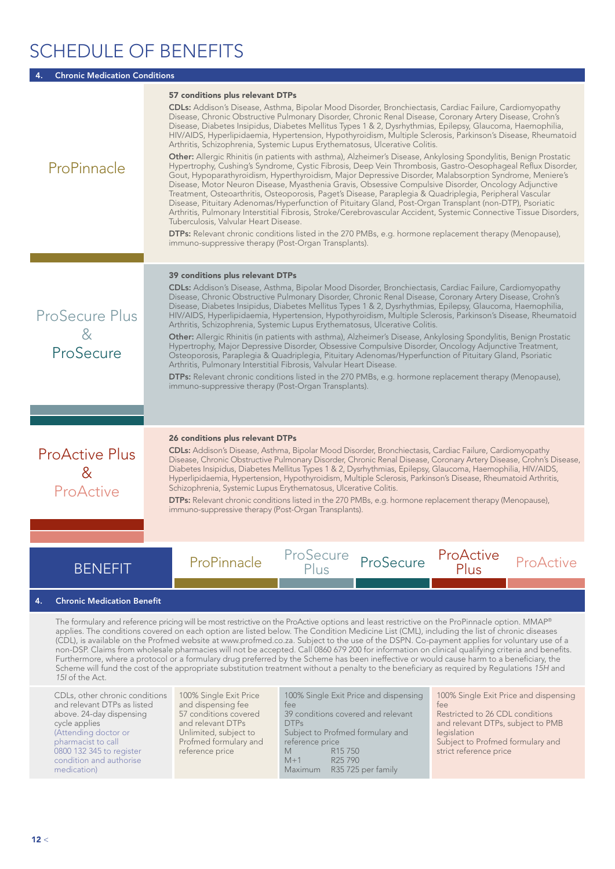### Chronic Medication Condition

| ProPinnacle                                          | 57 conditions plus relevant DTPs<br><b>CDLs:</b> Addison's Disease, Asthma, Bipolar Mood Disorder, Bronchiectasis, Cardiac Failure, Cardiomyopathy<br>Disease, Chronic Obstructive Pulmonary Disorder, Chronic Renal Disease, Coronary Artery Disease, Crohn's<br>Disease, Diabetes Insipidus, Diabetes Mellitus Types 1 & 2, Dysrhythmias, Epilepsy, Glaucoma, Haemophilia,<br>HIV/AIDS, Hyperlipidaemia, Hypertension, Hypothyroidism, Multiple Sclerosis, Parkinson's Disease, Rheumatoid<br>Arthritis, Schizophrenia, Systemic Lupus Erythematosus, Ulcerative Colitis.<br><b>Other:</b> Allergic Rhinitis (in patients with asthma), Alzheimer's Disease, Ankylosing Spondylitis, Benign Prostatic<br>Hypertrophy, Cushing's Syndrome, Cystic Fibrosis, Deep Vein Thrombosis, Gastro-Oesophageal Reflux Disorder,<br>Gout, Hypoparathyroidism, Hyperthyroidism, Major Depressive Disorder, Malabsorption Syndrome, Meniere's<br>Disease, Motor Neuron Disease, Myasthenia Gravis, Obsessive Compulsive Disorder, Oncology Adjunctive<br>Treatment, Osteoarthritis, Osteoporosis, Paget's Disease, Paraplegia & Quadriplegia, Peripheral Vascular<br>Disease, Pituitary Adenomas/Hyperfunction of Pituitary Gland, Post-Organ Transplant (non-DTP), Psoriatic<br>Arthritis, Pulmonary Interstitial Fibrosis, Stroke/Cerebrovascular Accident, Systemic Connective Tissue Disorders,<br>Tuberculosis, Valvular Heart Disease.<br><b>DTPs:</b> Relevant chronic conditions listed in the 270 PMBs, e.g. hormone replacement therapy (Menopause),<br>immuno-suppressive therapy (Post-Organ Transplants). |
|------------------------------------------------------|------------------------------------------------------------------------------------------------------------------------------------------------------------------------------------------------------------------------------------------------------------------------------------------------------------------------------------------------------------------------------------------------------------------------------------------------------------------------------------------------------------------------------------------------------------------------------------------------------------------------------------------------------------------------------------------------------------------------------------------------------------------------------------------------------------------------------------------------------------------------------------------------------------------------------------------------------------------------------------------------------------------------------------------------------------------------------------------------------------------------------------------------------------------------------------------------------------------------------------------------------------------------------------------------------------------------------------------------------------------------------------------------------------------------------------------------------------------------------------------------------------------------------------------------------------------------------------------------------------|
| <b>ProSecure Plus</b><br>8<br>ProSecure              | 39 conditions plus relevant DTPs<br><b>CDLs:</b> Addison's Disease, Asthma, Bipolar Mood Disorder, Bronchiectasis, Cardiac Failure, Cardiomyopathy<br>Disease, Chronic Obstructive Pulmonary Disorder, Chronic Renal Disease, Coronary Artery Disease, Crohn's<br>Disease, Diabetes Insipidus, Diabetes Mellitus Types 1 & 2, Dysrhythmias, Epilepsy, Glaucoma, Haemophilia,<br>HIV/AIDS, Hyperlipidaemia, Hypertension, Hypothyroidism, Multiple Sclerosis, Parkinson's Disease, Rheumatoid<br>Arthritis, Schizophrenia, Systemic Lupus Erythematosus, Ulcerative Colitis.<br>Other: Allergic Rhinitis (in patients with asthma), Alzheimer's Disease, Ankylosing Spondylitis, Benign Prostatic<br>Hypertrophy, Major Depressive Disorder, Obsessive Compulsive Disorder, Oncology Adjunctive Treatment,<br>Osteoporosis, Paraplegia & Quadriplegia, Pituitary Adenomas/Hyperfunction of Pituitary Gland, Psoriatic<br>Arthritis, Pulmonary Interstitial Fibrosis, Valvular Heart Disease.<br><b>DTPs:</b> Relevant chronic conditions listed in the 270 PMBs, e.g. hormone replacement therapy (Menopause),<br>immuno-suppressive therapy (Post-Organ Transplants).                                                                                                                                                                                                                                                                                                                                                                                                                                      |
| <b>ProActive Plus</b><br>8 <sup>2</sup><br>ProActive | 26 conditions plus relevant DTPs<br><b>CDLs:</b> Addison's Disease, Asthma, Bipolar Mood Disorder, Bronchiectasis, Cardiac Failure, Cardiomyopathy<br>Disease, Chronic Obstructive Pulmonary Disorder, Chronic Renal Disease, Coronary Artery Disease, Crohn's Disease,<br>Diabetes Insipidus, Diabetes Mellitus Types 1 & 2, Dysrhythmias, Epilepsy, Glaucoma, Haemophilia, HIV/AIDS,<br>Hyperlipidaemia, Hypertension, Hypothyroidism, Multiple Sclerosis, Parkinson's Disease, Rheumatoid Arthritis,<br>Schizophrenia, Systemic Lupus Erythematosus, Ulcerative Colitis.<br><b>DTPs:</b> Relevant chronic conditions listed in the 270 PMBs, e.g. hormone replacement therapy (Menopause),<br>immuno-suppressive therapy (Post-Organ Transplants).                                                                                                                                                                                                                                                                                                                                                                                                                                                                                                                                                                                                                                                                                                                                                                                                                                                      |
| <b>BENEFIT</b>                                       | ProSecure<br>ProActive<br>ProSecure<br>ProPinnacle<br>ProActive<br>Plus<br>Plus                                                                                                                                                                                                                                                                                                                                                                                                                                                                                                                                                                                                                                                                                                                                                                                                                                                                                                                                                                                                                                                                                                                                                                                                                                                                                                                                                                                                                                                                                                                            |
|                                                      |                                                                                                                                                                                                                                                                                                                                                                                                                                                                                                                                                                                                                                                                                                                                                                                                                                                                                                                                                                                                                                                                                                                                                                                                                                                                                                                                                                                                                                                                                                                                                                                                            |
| <b>Chronic Medication Benefit</b><br>4.              |                                                                                                                                                                                                                                                                                                                                                                                                                                                                                                                                                                                                                                                                                                                                                                                                                                                                                                                                                                                                                                                                                                                                                                                                                                                                                                                                                                                                                                                                                                                                                                                                            |
|                                                      |                                                                                                                                                                                                                                                                                                                                                                                                                                                                                                                                                                                                                                                                                                                                                                                                                                                                                                                                                                                                                                                                                                                                                                                                                                                                                                                                                                                                                                                                                                                                                                                                            |

The formulary and reference pricing will be most restrictive on the ProActive options and least restrictive on the ProPinnacle option. MMAP® applies. The conditions covered on each option are listed below. The Condition Medicine List (CML), including the list of chronic diseases (CDL), is available on the Profmed website at www.profmed.co.za. Subject to the use of the DSPN. Co-payment applies for voluntary use of a non-DSP. Claims from wholesale pharmacies will not be accepted. Call 0860 679 200 for information on clinical qualifying criteria and benefits. Furthermore, where a protocol or a formulary drug preferred by the Scheme has been ineffective or would cause harm to a beneficiary, the Scheme will fund the cost of the appropriate substitution treatment without a penalty to the beneficiary as required by Regulations *15H* and *15I* of the Act.

CDLs, other chronic conditions and relevant DTPs as listed above. 24-day dispensing cycle applies (Attending doctor or pharmacist to call 0800 132 345 to register condition and authorise medication)

100% Single Exit Price and dispensing fee 57 conditions covered and relevant DTPs Unlimited, subject to Profmed formulary and reference price

100% Single Exit Price and dispensing

fee 39 conditions covered and relevant DTPs Subject to Profmed formulary and reference price M R15 750<br>M+1 R25 790 R25 790

Maximum R35 725 per family

100% Single Exit Price and dispensing fee

Restricted to 26 CDL conditions and relevant DTPs, subject to PMB legislation

Subject to Profmed formulary and strict reference price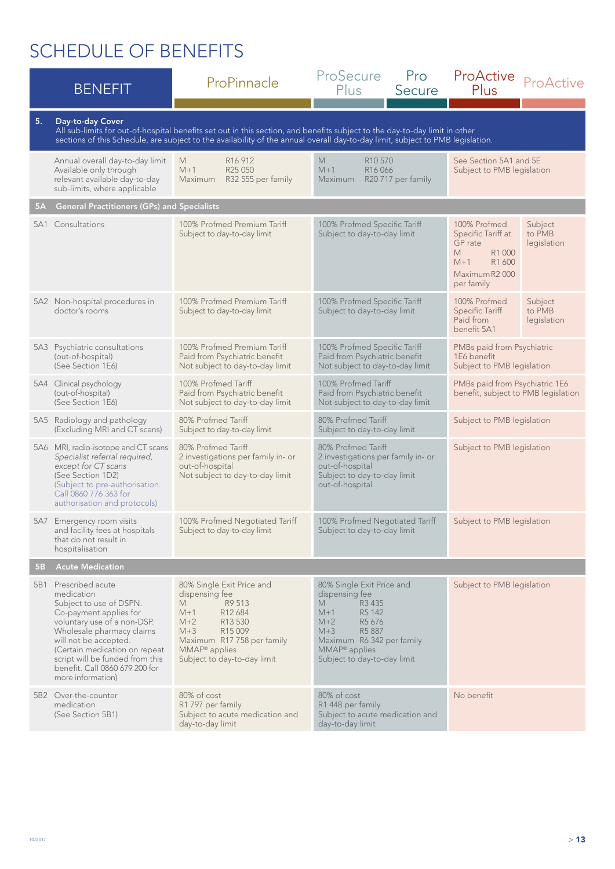|           | <b>BENEFIT</b>                                                                                                                                                                                                                                                                                          | ProPinnacle                                                                                                                                                                                                                                                  | ProSecure<br>Pro<br>Plus<br>Secure                                                                                                                                                                                        | ProActive<br>ProActive<br>Plus                                                                                                                     |  |
|-----------|---------------------------------------------------------------------------------------------------------------------------------------------------------------------------------------------------------------------------------------------------------------------------------------------------------|--------------------------------------------------------------------------------------------------------------------------------------------------------------------------------------------------------------------------------------------------------------|---------------------------------------------------------------------------------------------------------------------------------------------------------------------------------------------------------------------------|----------------------------------------------------------------------------------------------------------------------------------------------------|--|
| 5.        | Day-to-day Cover                                                                                                                                                                                                                                                                                        | All sub-limits for out-of-hospital benefits set out in this section, and benefits subject to the day-to-day limit in other<br>sections of this Schedule, are subject to the availability of the annual overall day-to-day limit, subject to PMB legislation. |                                                                                                                                                                                                                           |                                                                                                                                                    |  |
|           | Annual overall day-to-day limit<br>Available only through<br>relevant available day-to-day<br>sub-limits, where applicable                                                                                                                                                                              | R <sub>16</sub> 912<br>M<br>$M+1$<br>R <sub>25</sub> 050<br>R32 555 per family<br>Maximum                                                                                                                                                                    | M<br>R <sub>10</sub> 570<br>See Section 5A1 and 5E<br>$M+1$<br>R <sub>16</sub> 066<br>Subject to PMB legislation<br>R20 717 per family<br>Maximum                                                                         |                                                                                                                                                    |  |
| <b>5A</b> | <b>General Practitioners (GPs) and Specialists</b>                                                                                                                                                                                                                                                      |                                                                                                                                                                                                                                                              |                                                                                                                                                                                                                           |                                                                                                                                                    |  |
| 5A1       | Consultations                                                                                                                                                                                                                                                                                           | 100% Profmed Premium Tariff<br>Subject to day-to-day limit                                                                                                                                                                                                   | 100% Profmed Specific Tariff<br>Subject to day-to-day limit                                                                                                                                                               | 100% Profmed<br>Subject<br>Specific Tariff at<br>to PMB<br>GP rate<br>legislation<br>M<br>R1 000<br>R1 600<br>$M+1$<br>Maximum R2000<br>per family |  |
|           | 5A2 Non-hospital procedures in<br>doctor's rooms                                                                                                                                                                                                                                                        | 100% Profmed Premium Tariff<br>Subject to day-to-day limit                                                                                                                                                                                                   | 100% Profmed Specific Tariff<br>Subject to day-to-day limit                                                                                                                                                               | 100% Profmed<br>Subject<br><b>Specific Tariff</b><br>to PMB<br>Paid from<br>legislation<br>benefit 5A1                                             |  |
|           | 5A3 Psychiatric consultations<br>(out-of-hospital)<br>(See Section 1E6)                                                                                                                                                                                                                                 | 100% Profmed Premium Tariff<br>Paid from Psychiatric benefit<br>Not subject to day-to-day limit                                                                                                                                                              | 100% Profmed Specific Tariff<br>Paid from Psychiatric benefit<br>Not subject to day-to-day limit                                                                                                                          | PMBs paid from Psychiatric<br>1E6 benefit<br>Subject to PMB legislation                                                                            |  |
|           | 5A4 Clinical psychology<br>(out-of-hospital)<br>(See Section 1E6)                                                                                                                                                                                                                                       | 100% Profmed Tariff<br>Paid from Psychiatric benefit<br>Not subject to day-to-day limit                                                                                                                                                                      | 100% Profmed Tariff<br>Paid from Psychiatric benefit<br>Not subject to day-to-day limit                                                                                                                                   | PMBs paid from Psychiatric 1E6<br>benefit, subject to PMB legislation                                                                              |  |
|           | 5A5 Radiology and pathology<br>(Excluding MRI and CT scans)                                                                                                                                                                                                                                             | 80% Profmed Tariff<br>Subject to day-to-day limit                                                                                                                                                                                                            | 80% Profmed Tariff<br>Subject to day-to-day limit                                                                                                                                                                         | Subject to PMB legislation                                                                                                                         |  |
|           | 5A6 MRI, radio-isotope and CT scans<br>Specialist referral required,<br>except for CT scans<br>(See Section 1D2)<br>(Subject to pre-authorisation.<br>Call 0860 776 363 for<br>authorisation and protocols)                                                                                             | 80% Profmed Tariff<br>2 investigations per family in- or<br>out-of-hospital<br>Not subject to day-to-day limit                                                                                                                                               | 80% Profmed Tariff<br>2 investigations per family in- or<br>out-of-hospital<br>Subject to day-to-day limit<br>out-of-hospital                                                                                             | Subject to PMB legislation                                                                                                                         |  |
|           | 5A7 Emergency room visits<br>and facility fees at hospitals<br>that do not result in<br>hospitalisation                                                                                                                                                                                                 | 100% Profmed Negotiated Tariff<br>Subject to day-to-day limit                                                                                                                                                                                                | 100% Profmed Negotiated Tariff<br>Subject to PMB legislation<br>Subject to day-to-day limit                                                                                                                               |                                                                                                                                                    |  |
| <b>5B</b> | <b>Acute Medication</b>                                                                                                                                                                                                                                                                                 |                                                                                                                                                                                                                                                              |                                                                                                                                                                                                                           |                                                                                                                                                    |  |
|           | 5B1 Prescribed acute<br>medication<br>Subject to use of DSPN.<br>Co-payment applies for<br>voluntary use of a non-DSP.<br>Wholesale pharmacy claims<br>will not be accepted.<br>(Certain medication on repeat<br>script will be funded from this<br>benefit. Call 0860 679 200 for<br>more information) | 80% Single Exit Price and<br>dispensing fee<br>R9 513<br>M<br>$M+1$<br>R <sub>12</sub> 684<br>$M+2$<br>R13 530<br>$M+3$<br>R <sub>15</sub> 009<br>Maximum R17 758 per family<br>$MMAP®$ applies<br>Subject to day-to-day limit                               | 80% Single Exit Price and<br>dispensing fee<br>M.<br>R <sub>3</sub> 435<br>R5 142<br>$M+1$<br>R5 676<br>$M+2$<br>R5 887<br>$M+3$<br>Maximum R6 342 per family<br>MMAP <sup>®</sup> applies<br>Subject to day-to-day limit | Subject to PMB legislation                                                                                                                         |  |
|           | 5B2 Over-the-counter<br>medication<br>(See Section 5B1)                                                                                                                                                                                                                                                 | 80% of cost<br>R1 797 per family<br>Subject to acute medication and<br>day-to-day limit                                                                                                                                                                      | 80% of cost<br>R1 448 per family<br>Subject to acute medication and<br>day-to-day limit                                                                                                                                   | No benefit                                                                                                                                         |  |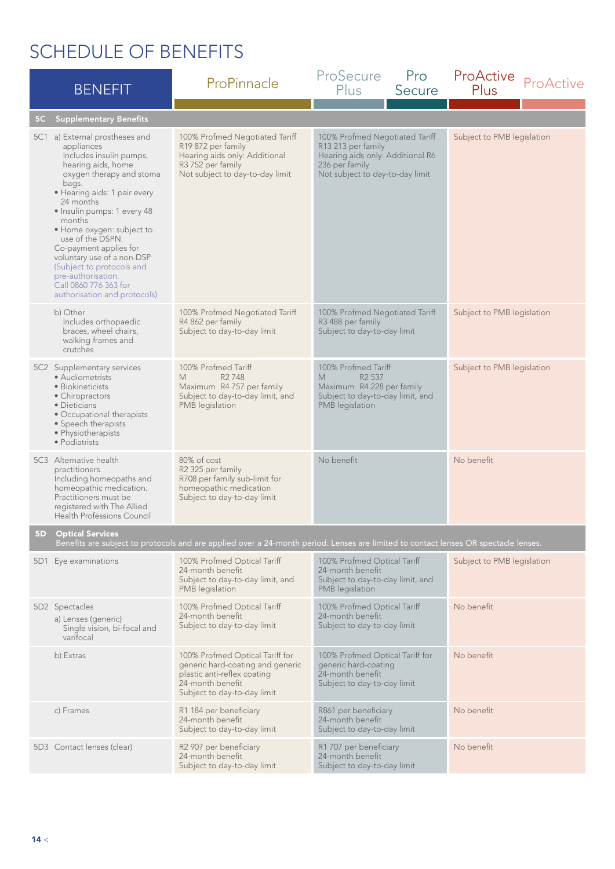|                | <b>BENEFIT</b>                                                                                                                                                                                                                                                                                                                                                                                                                                | ProPinnacle                                                                                                                                           | ProSecure<br>Plus                                                                                                                             | Pro<br>Secure | ProActive<br>Plus          | ProActive |
|----------------|-----------------------------------------------------------------------------------------------------------------------------------------------------------------------------------------------------------------------------------------------------------------------------------------------------------------------------------------------------------------------------------------------------------------------------------------------|-------------------------------------------------------------------------------------------------------------------------------------------------------|-----------------------------------------------------------------------------------------------------------------------------------------------|---------------|----------------------------|-----------|
| 5 <sub>C</sub> | <b>Supplementary Benefits</b>                                                                                                                                                                                                                                                                                                                                                                                                                 |                                                                                                                                                       |                                                                                                                                               |               |                            |           |
|                | 5C1 a) External prostheses and<br>appliances<br>Includes insulin pumps,<br>hearing aids, home<br>oxygen therapy and stoma<br>bags.<br>· Hearing aids: 1 pair every<br>24 months<br>· Insulin pumps: 1 every 48<br>months<br>· Home oxygen: subject to<br>use of the DSPN.<br>Co-payment applies for<br>voluntary use of a non-DSP<br>(Subject to protocols and<br>pre-authorisation.<br>Call 0860 776 363 for<br>authorisation and protocols) | 100% Profmed Negotiated Tariff<br>R19 872 per family<br>Hearing aids only: Additional<br>R3 752 per family<br>Not subject to day-to-day limit         | 100% Profmed Negotiated Tariff<br>R13 213 per family<br>Hearing aids only: Additional R6<br>236 per family<br>Not subject to day-to-day limit |               | Subject to PMB legislation |           |
|                | b) Other<br>Includes orthopaedic<br>braces, wheel chairs,<br>walking frames and<br>crutches                                                                                                                                                                                                                                                                                                                                                   | 100% Profmed Negotiated Tariff<br>R4 862 per family<br>Subject to day-to-day limit                                                                    | 100% Profmed Negotiated Tariff<br>R3 488 per family<br>Subject to day-to-day limit                                                            |               | Subject to PMB legislation |           |
|                | 5C2 Supplementary services<br>• Audiometrists<br>• Biokineticists<br>• Chiropractors<br>• Dieticians<br>• Occupational therapists<br>• Speech therapists<br>· Physiotherapists<br>• Podiatrists                                                                                                                                                                                                                                               | 100% Profmed Tariff<br>R <sub>2</sub> 748<br>M<br>Maximum R4 757 per family<br>Subject to day-to-day limit, and<br>PMB legislation                    | 100% Profmed Tariff<br>R <sub>2</sub> 537<br>M<br>Maximum R4 228 per family<br>Subject to day-to-day limit, and<br>PMB legislation            |               | Subject to PMB legislation |           |
|                | 5C3 Alternative health<br>practitioners<br>Including homeopaths and<br>homeopathic medication.<br>Practitioners must be<br>registered with The Allied<br>Health Professions Council                                                                                                                                                                                                                                                           | 80% of cost<br>R2 325 per family<br>R708 per family sub-limit for<br>homeopathic medication<br>Subject to day-to-day limit                            | No benefit                                                                                                                                    |               | No benefit                 |           |
| 5 <sub>D</sub> | <b>Optical Services</b>                                                                                                                                                                                                                                                                                                                                                                                                                       | Benefits are subject to protocols and are applied over a 24-month period. Lenses are limited to contact lenses OR spectacle lenses.                   |                                                                                                                                               |               |                            |           |
|                | 5D1 Eye examinations                                                                                                                                                                                                                                                                                                                                                                                                                          | 100% Profmed Optical Tariff<br>24-month benefit<br>Subject to day-to-day limit, and<br>PMB legislation                                                | 100% Profmed Optical Tariff<br>24-month benefit<br>Subject to day-to-day limit, and<br>PMB legislation                                        |               | Subject to PMB legislation |           |
|                | 5D2 Spectacles<br>a) Lenses (generic)<br>Single vision, bi-focal and<br>varifocal                                                                                                                                                                                                                                                                                                                                                             | 100% Profmed Optical Tariff<br>24-month benefit<br>Subject to day-to-day limit                                                                        | 100% Profmed Optical Tariff<br>24-month benefit<br>Subject to day-to-day limit                                                                |               | No benefit                 |           |
|                | b) Extras                                                                                                                                                                                                                                                                                                                                                                                                                                     | 100% Profmed Optical Tariff for<br>generic hard-coating and generic<br>plastic anti-reflex coating<br>24-month benefit<br>Subject to day-to-day limit | 100% Profmed Optical Tariff for<br>generic hard-coating<br>24-month benefit<br>Subject to day-to-day limit                                    |               | No benefit                 |           |
|                | c) Frames                                                                                                                                                                                                                                                                                                                                                                                                                                     | R1 184 per beneficiary<br>24-month benefit<br>Subject to day-to-day limit                                                                             | R861 per beneficiary<br>24-month benefit<br>Subject to day-to-day limit                                                                       |               | No benefit                 |           |
|                | 5D3 Contact lenses (clear)                                                                                                                                                                                                                                                                                                                                                                                                                    | R2 907 per beneficiary<br>24-month benefit<br>Subject to day-to-day limit                                                                             | R1 707 per beneficiary<br>24-month benefit<br>Subject to day-to-day limit                                                                     |               | No benefit                 |           |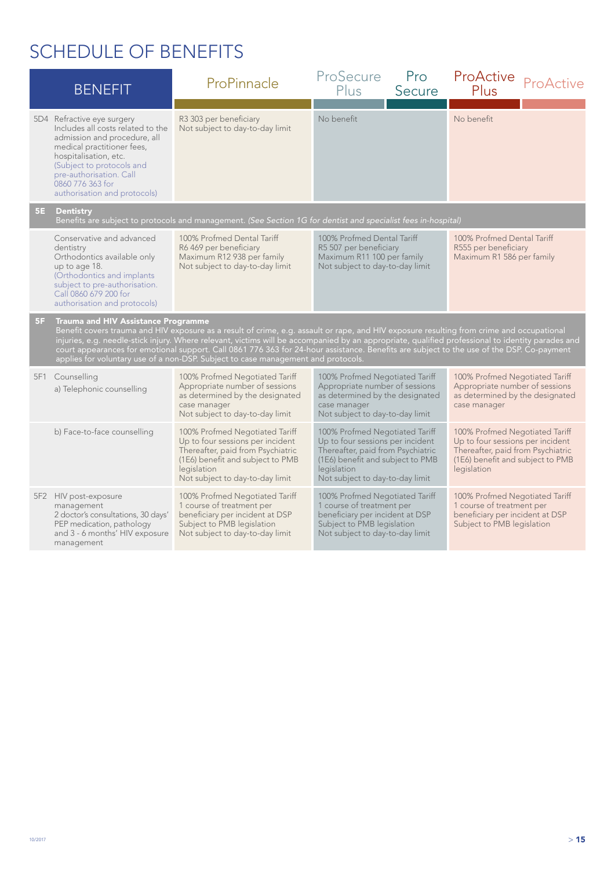|    | <b>BENEFIT</b>                                                                                                                                                                                                                                                                                                                                                                                                                                                                                                                                                                 | ProPinnacle                                                                                                                                                                                   | ProSecure<br>Plus                                                                                                                                                                             | Pro<br>Secure | ProActive ProActive<br>Plus                                                                                                                                |  |
|----|--------------------------------------------------------------------------------------------------------------------------------------------------------------------------------------------------------------------------------------------------------------------------------------------------------------------------------------------------------------------------------------------------------------------------------------------------------------------------------------------------------------------------------------------------------------------------------|-----------------------------------------------------------------------------------------------------------------------------------------------------------------------------------------------|-----------------------------------------------------------------------------------------------------------------------------------------------------------------------------------------------|---------------|------------------------------------------------------------------------------------------------------------------------------------------------------------|--|
|    | 5D4 Refractive eye surgery<br>Includes all costs related to the<br>admission and procedure, all<br>medical practitioner fees,<br>hospitalisation, etc.<br>(Subject to protocols and<br>pre-authorisation. Call<br>0860 776 363 for<br>authorisation and protocols)                                                                                                                                                                                                                                                                                                             | R3 303 per beneficiary<br>Not subject to day-to-day limit                                                                                                                                     | No benefit                                                                                                                                                                                    |               | No benefit                                                                                                                                                 |  |
| 5E | <b>Dentistry</b>                                                                                                                                                                                                                                                                                                                                                                                                                                                                                                                                                               | Benefits are subject to protocols and management. (See Section 1G for dentist and specialist fees in-hospital)                                                                                |                                                                                                                                                                                               |               |                                                                                                                                                            |  |
|    | Conservative and advanced<br>dentistry<br>Orthodontics available only<br>up to age 18.<br>(Orthodontics and implants<br>subject to pre-authorisation.<br>Call 0860 679 200 for<br>authorisation and protocols)                                                                                                                                                                                                                                                                                                                                                                 | 100% Profmed Dental Tariff<br>R6 469 per beneficiary<br>Maximum R12 938 per family<br>Not subject to day-to-day limit                                                                         | 100% Profmed Dental Tariff<br>R5 507 per beneficiary<br>Maximum R11 100 per family<br>Not subject to day-to-day limit                                                                         |               | 100% Profmed Dental Tariff<br>R555 per beneficiary<br>Maximum R1 586 per family                                                                            |  |
| 5F | <b>Trauma and HIV Assistance Programme</b><br>Benefit covers trauma and HIV exposure as a result of crime, e.g. assault or rape, and HIV exposure resulting from crime and occupational<br>injuries, e.g. needle-stick injury. Where relevant, victims will be accompanied by an appropriate, qualified professional to identity parades and<br>court appearances for emotional support. Call 0861 776 363 for 24-hour assistance. Benefits are subject to the use of the DSP. Co-payment<br>applies for voluntary use of a non-DSP. Subject to case management and protocols. |                                                                                                                                                                                               |                                                                                                                                                                                               |               |                                                                                                                                                            |  |
|    | 5F1 Counselling<br>a) Telephonic counselling                                                                                                                                                                                                                                                                                                                                                                                                                                                                                                                                   | 100% Profmed Negotiated Tariff<br>Appropriate number of sessions<br>as determined by the designated<br>case manager<br>Not subject to day-to-day limit                                        | 100% Profmed Negotiated Tariff<br>Appropriate number of sessions<br>as determined by the designated<br>case manager<br>Not subject to day-to-day limit                                        |               | 100% Profmed Negotiated Tariff<br>Appropriate number of sessions<br>as determined by the designated<br>case manager                                        |  |
|    | b) Face-to-face counselling                                                                                                                                                                                                                                                                                                                                                                                                                                                                                                                                                    | 100% Profmed Negotiated Tariff<br>Up to four sessions per incident<br>Thereafter, paid from Psychiatric<br>(1E6) benefit and subject to PMB<br>legislation<br>Not subject to day-to-day limit | 100% Profmed Negotiated Tariff<br>Up to four sessions per incident<br>Thereafter, paid from Psychiatric<br>(1E6) benefit and subject to PMB<br>legislation<br>Not subject to day-to-day limit |               | 100% Profmed Negotiated Tariff<br>Up to four sessions per incident<br>Thereafter, paid from Psychiatric<br>(1E6) benefit and subject to PMB<br>legislation |  |
|    | 5F2 HIV post-exposure<br>management<br>2 doctor's consultations, 30 days'<br>PEP medication, pathology<br>and 3 - 6 months' HIV exposure<br>management                                                                                                                                                                                                                                                                                                                                                                                                                         | 100% Profmed Negotiated Tariff<br>1 course of treatment per<br>beneficiary per incident at DSP<br>Subject to PMB legislation<br>Not subject to day-to-day limit                               | 100% Profmed Negotiated Tariff<br>1 course of treatment per<br>beneficiary per incident at DSP<br>Subject to PMB legislation<br>Not subject to day-to-day limit                               |               | 100% Profmed Negotiated Tariff<br>1 course of treatment per<br>beneficiary per incident at DSP<br>Subject to PMB legislation                               |  |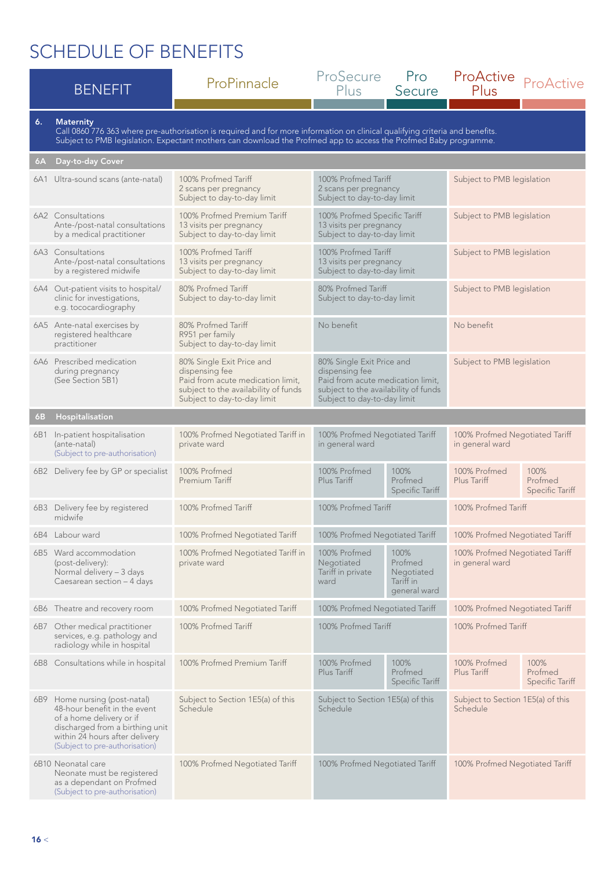|    | <b>BENEFIT</b>                                                                                                                                                                                   | ProPinnacle                                                                                                                                                                                                                                      | ProSecure<br>Plus                                                                                                                                       | <b>Pro</b><br>Secure                                                               | ProActive<br>Plus                                 | ProActive                                 |
|----|--------------------------------------------------------------------------------------------------------------------------------------------------------------------------------------------------|--------------------------------------------------------------------------------------------------------------------------------------------------------------------------------------------------------------------------------------------------|---------------------------------------------------------------------------------------------------------------------------------------------------------|------------------------------------------------------------------------------------|---------------------------------------------------|-------------------------------------------|
| 6. | <b>Maternity</b>                                                                                                                                                                                 | Call 0860 776 363 where pre-authorisation is required and for more information on clinical qualifying criteria and benefits.<br>Subject to PMB legislation. Expectant mothers can download the Profmed app to access the Profmed Baby programme. |                                                                                                                                                         |                                                                                    |                                                   |                                           |
| 6A | Day-to-day Cover                                                                                                                                                                                 |                                                                                                                                                                                                                                                  |                                                                                                                                                         |                                                                                    |                                                   |                                           |
|    | 6A1 Ultra-sound scans (ante-natal)                                                                                                                                                               | 100% Profmed Tariff<br>2 scans per pregnancy<br>Subject to day-to-day limit                                                                                                                                                                      | 100% Profmed Tariff<br>Subject to PMB legislation<br>2 scans per pregnancy<br>Subject to day-to-day limit                                               |                                                                                    |                                                   |                                           |
|    | 6A2 Consultations<br>Ante-/post-natal consultations<br>by a medical practitioner                                                                                                                 | 100% Profmed Premium Tariff<br>13 visits per pregnancy<br>Subject to day-to-day limit                                                                                                                                                            | 100% Profmed Specific Tariff<br>13 visits per pregnancy<br>Subject to day-to-day limit                                                                  |                                                                                    | Subject to PMB legislation                        |                                           |
|    | 6A3 Consultations<br>Ante-/post-natal consultations<br>by a registered midwife                                                                                                                   | 100% Profmed Tariff<br>13 visits per pregnancy<br>Subject to day-to-day limit                                                                                                                                                                    | 100% Profmed Tariff<br>13 visits per pregnancy<br>Subject to day-to-day limit                                                                           |                                                                                    | Subject to PMB legislation                        |                                           |
|    | 6A4 Out-patient visits to hospital/<br>clinic for investigations,<br>e.g. tococardiography                                                                                                       | 80% Profmed Tariff<br>Subject to day-to-day limit                                                                                                                                                                                                | 80% Profmed Tariff<br>Subject to day-to-day limit                                                                                                       |                                                                                    | Subject to PMB legislation                        |                                           |
|    | 6A5 Ante-natal exercises by<br>registered healthcare<br>practitioner                                                                                                                             | 80% Profmed Tariff<br>R951 per family<br>Subject to day-to-day limit                                                                                                                                                                             | No benefit<br>No benefit                                                                                                                                |                                                                                    |                                                   |                                           |
|    | 6A6 Prescribed medication<br>during pregnancy<br>(See Section 5B1)                                                                                                                               | 80% Single Exit Price and<br>dispensing fee<br>Paid from acute medication limit,<br>subject to the availability of funds<br>Subject to day-to-day limit                                                                                          | 80% Single Exit Price and<br>dispensing fee<br>Paid from acute medication limit,<br>subject to the availability of funds<br>Subject to day-to-day limit |                                                                                    | Subject to PMB legislation                        |                                           |
| 6В | Hospitalisation                                                                                                                                                                                  |                                                                                                                                                                                                                                                  |                                                                                                                                                         |                                                                                    |                                                   |                                           |
|    | 6B1 In-patient hospitalisation<br>(ante-natal)<br>(Subject to pre-authorisation)                                                                                                                 | 100% Profmed Negotiated Tariff in<br>private ward                                                                                                                                                                                                | 100% Profmed Negotiated Tariff<br>in general ward                                                                                                       |                                                                                    | 100% Profmed Negotiated Tariff<br>in general ward |                                           |
|    | 6B2 Delivery fee by GP or specialist                                                                                                                                                             | 100% Profmed<br>Premium Tariff                                                                                                                                                                                                                   | 100% Profmed<br>Plus Tariff                                                                                                                             | 100%<br>Profmed<br><b>Specific Tariff</b>                                          | 100% Profmed<br>Plus Tariff                       | 100%<br>Profmed<br>Specific Tariff        |
|    | 6B3 Delivery fee by registered<br>midwife                                                                                                                                                        | 100% Profmed Tariff                                                                                                                                                                                                                              | 100% Profmed Tariff                                                                                                                                     |                                                                                    | 100% Profmed Tariff                               |                                           |
|    | 6B4 Labour ward                                                                                                                                                                                  | 100% Profmed Negotiated Tariff                                                                                                                                                                                                                   | 100% Profmed Negotiated Tariff                                                                                                                          |                                                                                    | 100% Profmed Negotiated Tariff                    |                                           |
|    | 6B5 Ward accommodation<br>(post-delivery):<br>Normal delivery - 3 days<br>Caesarean section - 4 days                                                                                             | 100% Profmed Negotiated Tariff in<br>private ward                                                                                                                                                                                                | 100% Profmed<br>Negotiated<br>Tariff in private<br>ward                                                                                                 | 100%<br>Profmed<br>Negotiated<br>Tariff in<br>general ward                         | 100% Profmed Negotiated Tariff<br>in general ward |                                           |
|    | 6B6 Theatre and recovery room                                                                                                                                                                    | 100% Profmed Negotiated Tariff                                                                                                                                                                                                                   | 100% Profmed Negotiated Tariff                                                                                                                          |                                                                                    | 100% Profmed Negotiated Tariff                    |                                           |
|    | 6B7 Other medical practitioner<br>services, e.g. pathology and<br>radiology while in hospital                                                                                                    | 100% Profmed Tariff                                                                                                                                                                                                                              | 100% Profmed Tariff                                                                                                                                     |                                                                                    | 100% Profmed Tariff                               |                                           |
|    | 6B8 Consultations while in hospital                                                                                                                                                              | 100% Profmed Premium Tariff                                                                                                                                                                                                                      | 100% Profmed<br>Plus Tariff                                                                                                                             | 100%<br>Profmed<br><b>Specific Tariff</b>                                          | 100% Profmed<br>Plus Tariff                       | 100%<br>Profmed<br><b>Specific Tariff</b> |
|    | 6B9 Home nursing (post-natal)<br>48-hour benefit in the event<br>of a home delivery or if<br>discharged from a birthing unit<br>within 24 hours after delivery<br>(Subject to pre-authorisation) | Subject to Section 1E5(a) of this<br>Schedule                                                                                                                                                                                                    | Schedule                                                                                                                                                | Subject to Section 1E5(a) of this<br>Subject to Section 1E5(a) of this<br>Schedule |                                                   |                                           |
|    | 6B10 Neonatal care<br>Neonate must be registered<br>as a dependant on Profmed<br>(Subject to pre-authorisation)                                                                                  | 100% Profmed Negotiated Tariff                                                                                                                                                                                                                   | 100% Profmed Negotiated Tariff                                                                                                                          |                                                                                    | 100% Profmed Negotiated Tariff                    |                                           |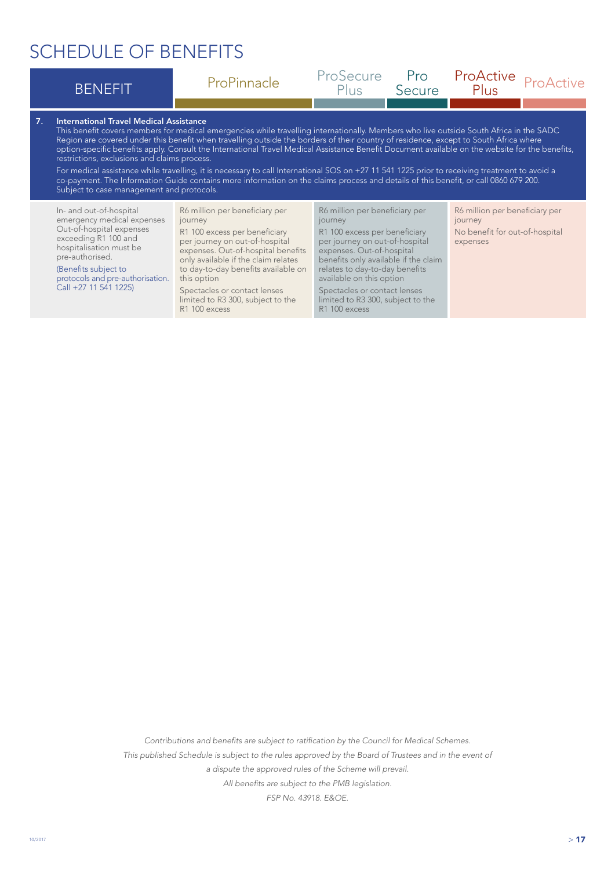|    | <b>BENEFIT</b>                                                                                                                                                                                                                               | ProPinnacle                                                                                                                                                                                                                                                                                                                                                                                                                                                                                                                                                                                                                                                                                                                  | ProSecure<br>Plus                                                                                                                                                                                                                                                                                                                     | Pro<br>Secure | ProActive<br>Plus                                                                       | ProActive |
|----|----------------------------------------------------------------------------------------------------------------------------------------------------------------------------------------------------------------------------------------------|------------------------------------------------------------------------------------------------------------------------------------------------------------------------------------------------------------------------------------------------------------------------------------------------------------------------------------------------------------------------------------------------------------------------------------------------------------------------------------------------------------------------------------------------------------------------------------------------------------------------------------------------------------------------------------------------------------------------------|---------------------------------------------------------------------------------------------------------------------------------------------------------------------------------------------------------------------------------------------------------------------------------------------------------------------------------------|---------------|-----------------------------------------------------------------------------------------|-----------|
| 7. | International Travel Medical Assistance<br>restrictions, exclusions and claims process.<br>Subject to case management and protocols.                                                                                                         | This benefit covers members for medical emergencies while travelling internationally. Members who live outside South Africa in the SADC<br>Region are covered under this benefit when travelling outside the borders of their country of residence, except to South Africa where<br>option-specific benefits apply. Consult the International Travel Medical Assistance Benefit Document available on the website for the benefits,<br>For medical assistance while travelling, it is necessary to call International SOS on +27 11 541 1225 prior to receiving treatment to avoid a<br>co-payment. The Information Guide contains more information on the claims process and details of this benefit, or call 0860 679 200. |                                                                                                                                                                                                                                                                                                                                       |               |                                                                                         |           |
|    | In- and out-of-hospital<br>emergency medical expenses<br>Out-of-hospital expenses<br>exceeding R1 100 and<br>hospitalisation must be<br>pre-authorised.<br>(Benefits subject to<br>protocols and pre-authorisation.<br>Call +27 11 541 1225) | R6 million per beneficiary per<br>journey<br>R1 100 excess per beneficiary<br>per journey on out-of-hospital<br>expenses. Out-of-hospital benefits<br>only available if the claim relates<br>to day-to-day benefits available on<br>this option<br>Spectacles or contact lenses<br>limited to R3 300, subject to the<br>R1 100 excess                                                                                                                                                                                                                                                                                                                                                                                        | R6 million per beneficiary per<br>journey<br>R1 100 excess per beneficiary<br>per journey on out-of-hospital<br>expenses. Out-of-hospital<br>benefits only available if the claim<br>relates to day-to-day benefits<br>available on this option<br>Spectacles or contact lenses<br>limited to R3 300, subject to the<br>R1 100 excess |               | R6 million per beneficiary per<br>journey<br>No benefit for out-of-hospital<br>expenses |           |

*Contributions and benefits are subject to ratification by the Council for Medical Schemes. This published Schedule is subject to the rules approved by the Board of Trustees and in the event of a dispute the approved rules of the Scheme will prevail. All benefits are subject to the PMB legislation. FSP No. 43918. E&OE.*